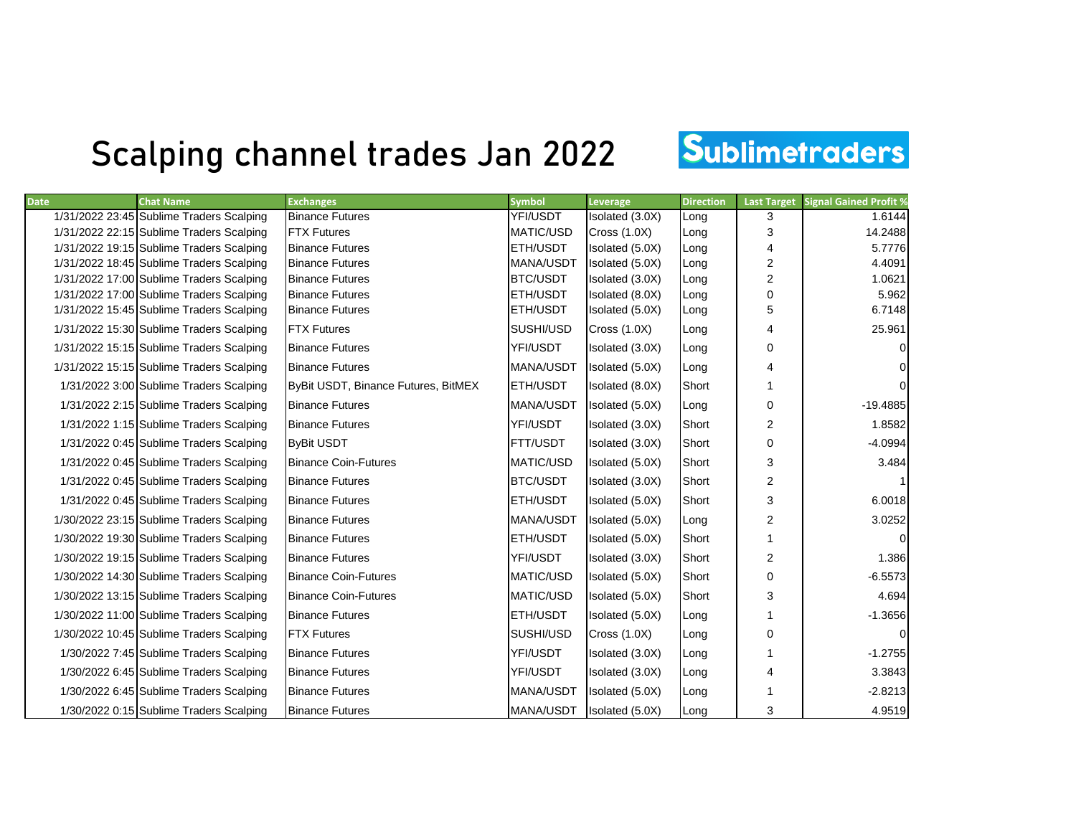## Scalping channel trades Jan 2022

## Sublimetraders

| <b>Date</b> | <b>Chat Name</b>                         | <b>Exchanges</b>                    | <b>Symbol</b>    | Leverage        | <b>Direction</b> | <b>Last Target</b>      | <b>Signal Gained Profit %</b> |
|-------------|------------------------------------------|-------------------------------------|------------------|-----------------|------------------|-------------------------|-------------------------------|
|             | 1/31/2022 23:45 Sublime Traders Scalping | <b>Binance Futures</b>              | YFI/USDT         | Isolated (3.0X) | Long             | 3                       | 1.6144                        |
|             | 1/31/2022 22:15 Sublime Traders Scalping | <b>FTX Futures</b>                  | MATIC/USD        | Cross(1.0X)     | Long             | 3                       | 14.2488                       |
|             | 1/31/2022 19:15 Sublime Traders Scalping | <b>Binance Futures</b>              | ETH/USDT         | Isolated (5.0X) | Long             | 4                       | 5.7776                        |
|             | 1/31/2022 18:45 Sublime Traders Scalping | <b>Binance Futures</b>              | MANA/USDT        | Isolated (5.0X) | Long             | $\overline{2}$          | 4.4091                        |
|             | 1/31/2022 17:00 Sublime Traders Scalping | <b>Binance Futures</b>              | BTC/USDT         | Isolated (3.0X) | Long             | $\overline{2}$          | 1.0621                        |
|             | 1/31/2022 17:00 Sublime Traders Scalping | <b>Binance Futures</b>              | ETH/USDT         | Isolated (8.0X) | Long             | $\Omega$                | 5.962                         |
|             | 1/31/2022 15:45 Sublime Traders Scalping | <b>Binance Futures</b>              | ETH/USDT         | Isolated (5.0X) | Long             | 5                       | 6.7148                        |
|             | 1/31/2022 15:30 Sublime Traders Scalping | <b>FTX Futures</b>                  | SUSHI/USD        | Cross(1.0X)     | Long             | 4                       | 25.961                        |
|             | 1/31/2022 15:15 Sublime Traders Scalping | <b>Binance Futures</b>              | YFI/USDT         | Isolated (3.0X) | Long             | $\Omega$                |                               |
|             | 1/31/2022 15:15 Sublime Traders Scalping | <b>Binance Futures</b>              | MANA/USDT        | Isolated (5.0X) | Long             | 4                       | 0                             |
|             | 1/31/2022 3:00 Sublime Traders Scalping  | ByBit USDT, Binance Futures, BitMEX | ETH/USDT         | Isolated (8.0X) | Short            |                         |                               |
|             | 1/31/2022 2:15 Sublime Traders Scalping  | <b>Binance Futures</b>              | MANA/USDT        | Isolated (5.0X) | Long             | 0                       | $-19.4885$                    |
|             | 1/31/2022 1:15 Sublime Traders Scalping  | <b>Binance Futures</b>              | YFI/USDT         | Isolated (3.0X) | Short            | $\overline{2}$          | 1.8582                        |
|             | 1/31/2022 0:45 Sublime Traders Scalping  | <b>ByBit USDT</b>                   | FTT/USDT         | Isolated (3.0X) | Short            | $\Omega$                | $-4.0994$                     |
|             | 1/31/2022 0:45 Sublime Traders Scalping  | <b>Binance Coin-Futures</b>         | <b>MATIC/USD</b> | Isolated (5.0X) | Short            | 3                       | 3.484                         |
|             | 1/31/2022 0:45 Sublime Traders Scalping  | <b>Binance Futures</b>              | <b>BTC/USDT</b>  | Isolated (3.0X) | Short            | $\overline{2}$          |                               |
|             | 1/31/2022 0:45 Sublime Traders Scalping  | <b>Binance Futures</b>              | ETH/USDT         | Isolated (5.0X) | Short            | 3                       | 6.0018                        |
|             | 1/30/2022 23:15 Sublime Traders Scalping | <b>Binance Futures</b>              | MANA/USDT        | Isolated (5.0X) | Long             | $\overline{2}$          | 3.0252                        |
|             | 1/30/2022 19:30 Sublime Traders Scalping | <b>Binance Futures</b>              | ETH/USDT         | Isolated (5.0X) | Short            | 1                       |                               |
|             | 1/30/2022 19:15 Sublime Traders Scalping | <b>Binance Futures</b>              | YFI/USDT         | Isolated (3.0X) | Short            | $\overline{\mathbf{c}}$ | 1.386                         |
|             | 1/30/2022 14:30 Sublime Traders Scalping | <b>Binance Coin-Futures</b>         | MATIC/USD        | Isolated (5.0X) | Short            | 0                       | $-6.5573$                     |
|             | 1/30/2022 13:15 Sublime Traders Scalping | <b>Binance Coin-Futures</b>         | MATIC/USD        | Isolated (5.0X) | Short            | 3                       | 4.694                         |
|             | 1/30/2022 11:00 Sublime Traders Scalping | <b>Binance Futures</b>              | ETH/USDT         | Isolated (5.0X) | Long             |                         | $-1.3656$                     |
|             | 1/30/2022 10:45 Sublime Traders Scalping | <b>FTX Futures</b>                  | SUSHI/USD        | Cross(1.0X)     | Long             | $\Omega$                | $\Omega$                      |
|             | 1/30/2022 7:45 Sublime Traders Scalping  | <b>Binance Futures</b>              | YFI/USDT         | Isolated (3.0X) | Long             |                         | $-1.2755$                     |
|             | 1/30/2022 6:45 Sublime Traders Scalping  | <b>Binance Futures</b>              | YFI/USDT         | Isolated (3.0X) | Long             | 4                       | 3.3843                        |
|             | 1/30/2022 6:45 Sublime Traders Scalping  | <b>Binance Futures</b>              | MANA/USDT        | Isolated (5.0X) | Long             |                         | $-2.8213$                     |
|             | 1/30/2022 0:15 Sublime Traders Scalping  | <b>Binance Futures</b>              | MANA/USDT        | Isolated (5.0X) | Long             | 3                       | 4.9519                        |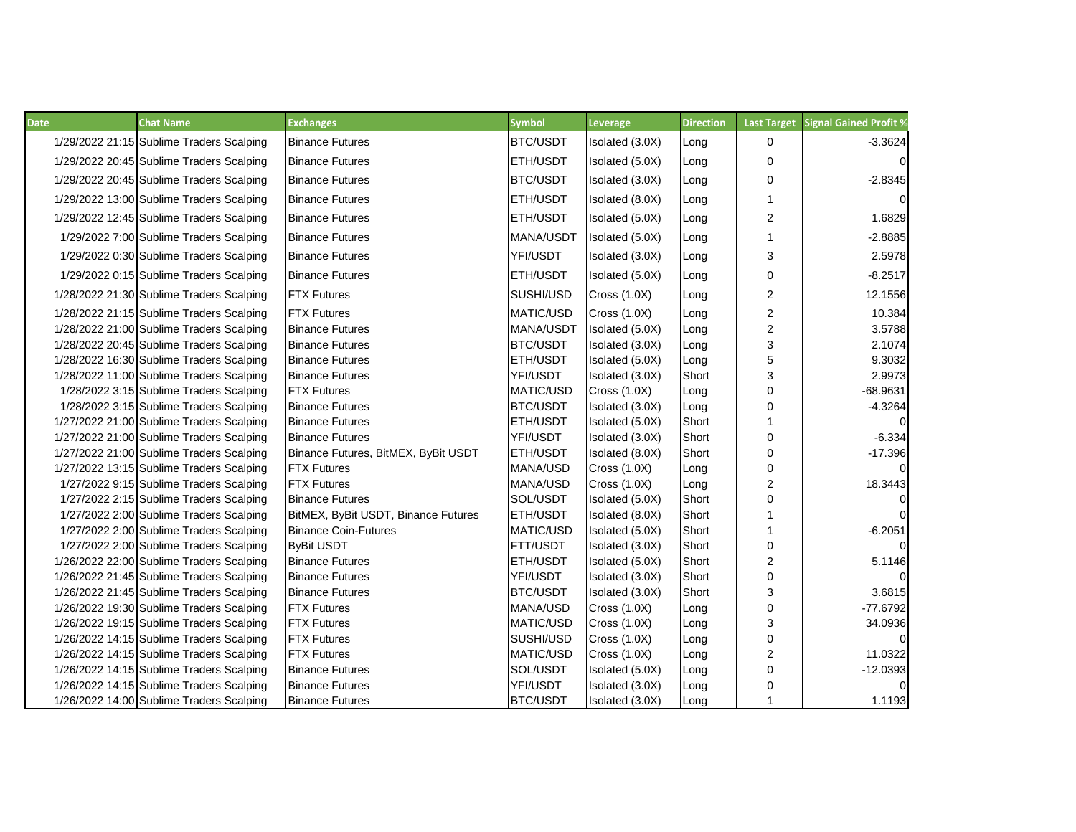| <b>Chat Name</b><br><b>Date</b>          | <b>Exchanges</b>            |                                     | <b>Symbol</b>    | Leverage            | <b>Direction</b> | <b>Last Target</b> | <b>Signal Gained Profit %</b> |
|------------------------------------------|-----------------------------|-------------------------------------|------------------|---------------------|------------------|--------------------|-------------------------------|
| 1/29/2022 21:15 Sublime Traders Scalping | <b>Binance Futures</b>      |                                     | <b>BTC/USDT</b>  | Isolated (3.0X)     | Long             | 0                  | $-3.3624$                     |
| 1/29/2022 20:45 Sublime Traders Scalping | <b>Binance Futures</b>      |                                     | <b>ETH/USDT</b>  | Isolated (5.0X)     | Long             | $\mathbf 0$        | $\overline{0}$                |
| 1/29/2022 20:45 Sublime Traders Scalping | <b>Binance Futures</b>      |                                     | BTC/USDT         | Isolated (3.0X)     | Long             | 0                  | $-2.8345$                     |
| 1/29/2022 13:00 Sublime Traders Scalping | <b>Binance Futures</b>      |                                     | <b>ETH/USDT</b>  | Isolated (8.0X)     | Long             | 1                  | $\Omega$                      |
| 1/29/2022 12:45 Sublime Traders Scalping | <b>Binance Futures</b>      |                                     | <b>ETH/USDT</b>  | Isolated (5.0X)     | Long             | 2                  | 1.6829                        |
| 1/29/2022 7:00 Sublime Traders Scalping  | <b>Binance Futures</b>      |                                     | MANA/USDT        | Isolated (5.0X)     | Long             | 1                  | $-2.8885$                     |
| 1/29/2022 0:30 Sublime Traders Scalping  | <b>Binance Futures</b>      |                                     | YFI/USDT         | Isolated (3.0X)     | Long             | 3                  | 2.5978                        |
| 1/29/2022 0:15 Sublime Traders Scalping  | <b>Binance Futures</b>      |                                     | <b>ETH/USDT</b>  | Isolated (5.0X)     | Long             | $\mathbf 0$        | $-8.2517$                     |
| 1/28/2022 21:30 Sublime Traders Scalping | <b>FTX Futures</b>          |                                     | SUSHI/USD        | <b>Cross (1.0X)</b> | Long             | $\mathbf{2}$       | 12.1556                       |
| 1/28/2022 21:15 Sublime Traders Scalping | <b>FTX Futures</b>          |                                     | <b>MATIC/USD</b> | <b>Cross (1.0X)</b> | Long             | $\overline{2}$     | 10.384                        |
| 1/28/2022 21:00 Sublime Traders Scalping | <b>Binance Futures</b>      |                                     | MANA/USDT        | Isolated (5.0X)     | Long             | $\boldsymbol{2}$   | 3.5788                        |
| 1/28/2022 20:45 Sublime Traders Scalping | <b>Binance Futures</b>      |                                     | BTC/USDT         | Isolated (3.0X)     | Long             | 3                  | 2.1074                        |
| 1/28/2022 16:30 Sublime Traders Scalping | <b>Binance Futures</b>      |                                     | ETH/USDT         | Isolated (5.0X)     | Long             | 5                  | 9.3032                        |
| 1/28/2022 11:00 Sublime Traders Scalping | <b>Binance Futures</b>      |                                     | YFI/USDT         | Isolated (3.0X)     | Short            | 3                  | 2.9973                        |
| 1/28/2022 3:15 Sublime Traders Scalping  | <b>FTX Futures</b>          |                                     | <b>MATIC/USD</b> | Cross $(1.0X)$      | Long             | 0                  | $-68.9631$                    |
| 1/28/2022 3:15 Sublime Traders Scalping  | <b>Binance Futures</b>      |                                     | BTC/USDT         | Isolated (3.0X)     | Long             | 0                  | $-4.3264$                     |
| 1/27/2022 21:00 Sublime Traders Scalping | <b>Binance Futures</b>      |                                     | <b>ETH/USDT</b>  | Isolated (5.0X)     | Short            |                    | $\Omega$                      |
| 1/27/2022 21:00 Sublime Traders Scalping | <b>Binance Futures</b>      |                                     | YFI/USDT         | Isolated (3.0X)     | Short            | 0                  | $-6.334$                      |
| 1/27/2022 21:00 Sublime Traders Scalping |                             | Binance Futures, BitMEX, ByBit USDT | <b>ETH/USDT</b>  | Isolated (8.0X)     | Short            | $\mathbf 0$        | $-17.396$                     |
| 1/27/2022 13:15 Sublime Traders Scalping | <b>IFTX Futures</b>         |                                     | MANA/USD         | <b>Cross (1.0X)</b> | Long             | 0                  | $\Omega$                      |
| 1/27/2022 9:15 Sublime Traders Scalping  | <b>IFTX Futures</b>         |                                     | <b>MANA/USD</b>  | Cross $(1.0X)$      | Long             | 2                  | 18.3443                       |
| 1/27/2022 2:15 Sublime Traders Scalping  | <b>Binance Futures</b>      |                                     | SOL/USDT         | Isolated (5.0X)     | Short            | 0                  | $\Omega$                      |
| 1/27/2022 2:00 Sublime Traders Scalping  |                             | BitMEX, ByBit USDT, Binance Futures | <b>ETH/USDT</b>  | Isolated (8.0X)     | Short            |                    | $\Omega$                      |
| 1/27/2022 2:00 Sublime Traders Scalping  | <b>Binance Coin-Futures</b> |                                     | MATIC/USD        | Isolated (5.0X)     | Short            |                    | $-6.2051$                     |
| 1/27/2022 2:00 Sublime Traders Scalping  | <b>ByBit USDT</b>           |                                     | FTT/USDT         | Isolated (3.0X)     | Short            | 0                  | $\Omega$                      |
| 1/26/2022 22:00 Sublime Traders Scalping | <b>Binance Futures</b>      |                                     | ETH/USDT         | Isolated (5.0X)     | Short            | 2                  | 5.1146                        |
| 1/26/2022 21:45 Sublime Traders Scalping | <b>Binance Futures</b>      |                                     | YFI/USDT         | Isolated (3.0X)     | Short            | $\mathbf 0$        | $\Omega$                      |
| 1/26/2022 21:45 Sublime Traders Scalping | <b>Binance Futures</b>      |                                     | <b>BTC/USDT</b>  | Isolated (3.0X)     | Short            | 3                  | 3.6815                        |
| 1/26/2022 19:30 Sublime Traders Scalping | <b>FTX Futures</b>          |                                     | MANA/USD         | <b>Cross (1.0X)</b> | Long             | $\mathbf 0$        | $-77.6792$                    |
| 1/26/2022 19:15 Sublime Traders Scalping | <b>FTX Futures</b>          |                                     | <b>MATIC/USD</b> | <b>Cross (1.0X)</b> | Long             | 3                  | 34.0936                       |
| 1/26/2022 14:15 Sublime Traders Scalping | <b>FTX Futures</b>          |                                     | SUSHI/USD        | <b>Cross (1.0X)</b> | Long             | $\pmb{0}$          | $\Omega$                      |
| 1/26/2022 14:15 Sublime Traders Scalping | <b>FTX Futures</b>          |                                     | MATIC/USD        | Cross $(1.0X)$      | Long             | $\overline{c}$     | 11.0322                       |
| 1/26/2022 14:15 Sublime Traders Scalping | <b>Binance Futures</b>      |                                     | SOL/USDT         | Isolated (5.0X)     | Long             | 0                  | $-12.0393$                    |
| 1/26/2022 14:15 Sublime Traders Scalping | <b>Binance Futures</b>      |                                     | YFI/USDT         | Isolated (3.0X)     | Long             | $\mathbf 0$        | $\Omega$                      |
| 1/26/2022 14:00 Sublime Traders Scalping | <b>Binance Futures</b>      |                                     | BTC/USDT         | Isolated (3.0X)     | Long             | $\mathbf{1}$       | 1.1193                        |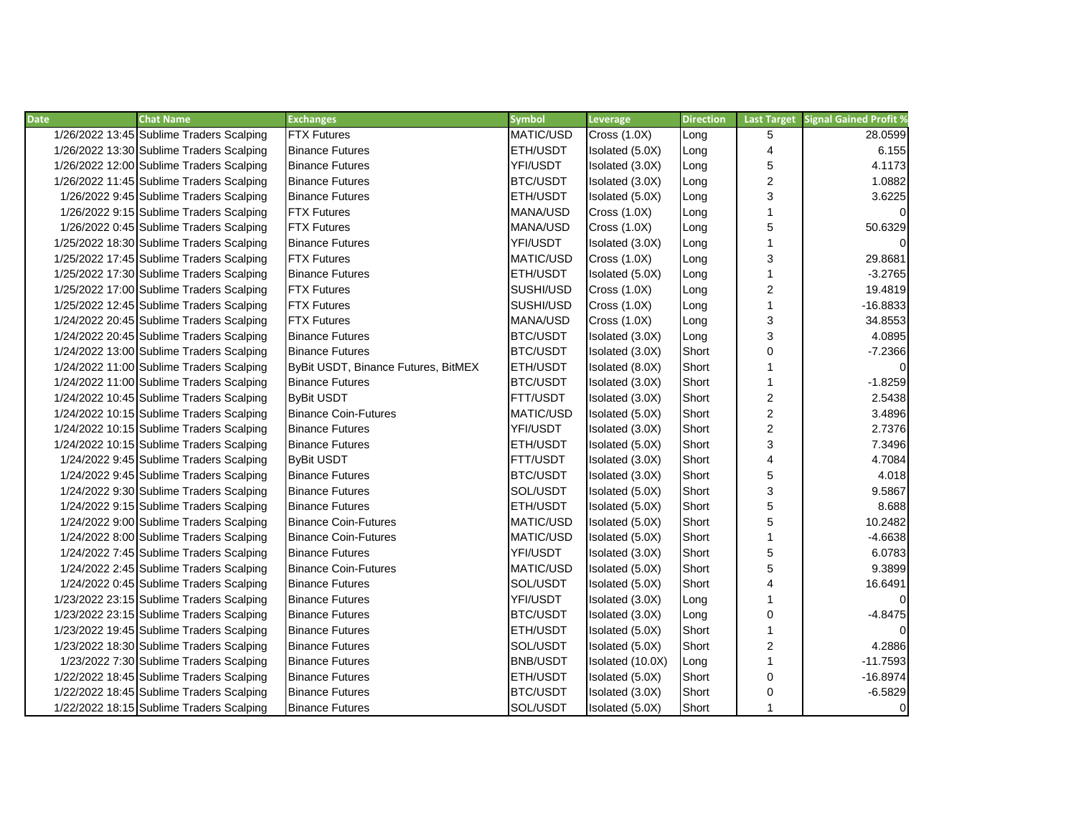| <b>Date</b> | <b>Chat Name</b>                         | <b>Exchanges</b>                    | <b>Symbol</b>    | Leverage            | <b>Direction</b> | <b>Last Target</b>      | <b>Signal Gained Profit %</b> |
|-------------|------------------------------------------|-------------------------------------|------------------|---------------------|------------------|-------------------------|-------------------------------|
|             | 1/26/2022 13:45 Sublime Traders Scalping | <b>FTX Futures</b>                  | MATIC/USD        | <b>Cross (1.0X)</b> | Long             | 5                       | 28.0599                       |
|             | 1/26/2022 13:30 Sublime Traders Scalping | <b>Binance Futures</b>              | <b>ETH/USDT</b>  | Isolated (5.0X)     | Long             | $\overline{\mathbf{4}}$ | 6.155                         |
|             | 1/26/2022 12:00 Sublime Traders Scalping | <b>Binance Futures</b>              | YFI/USDT         | Isolated (3.0X)     | Long             | 5                       | 4.1173                        |
|             | 1/26/2022 11:45 Sublime Traders Scalping | <b>Binance Futures</b>              | BTC/USDT         | Isolated (3.0X)     | Long             | $\overline{c}$          | 1.0882                        |
|             | 1/26/2022 9:45 Sublime Traders Scalping  | <b>Binance Futures</b>              | <b>ETH/USDT</b>  | Isolated (5.0X)     | Long             | 3                       | 3.6225                        |
|             | 1/26/2022 9:15 Sublime Traders Scalping  | <b>FTX Futures</b>                  | MANA/USD         | <b>Cross (1.0X)</b> | Long             | 1                       | $\Omega$                      |
|             | 1/26/2022 0:45 Sublime Traders Scalping  | <b>FTX Futures</b>                  | MANA/USD         | <b>Cross (1.0X)</b> | Long             | 5                       | 50.6329                       |
|             | 1/25/2022 18:30 Sublime Traders Scalping | <b>Binance Futures</b>              | YFI/USDT         | Isolated (3.0X)     | Long             | 1                       | $\Omega$                      |
|             | 1/25/2022 17:45 Sublime Traders Scalping | <b>FTX Futures</b>                  | <b>MATIC/USD</b> | <b>Cross (1.0X)</b> | Long             | 3                       | 29.8681                       |
|             | 1/25/2022 17:30 Sublime Traders Scalping | <b>Binance Futures</b>              | <b>ETH/USDT</b>  | Isolated (5.0X)     | Long             | $\mathbf{1}$            | $-3.2765$                     |
|             | 1/25/2022 17:00 Sublime Traders Scalping | <b>FTX Futures</b>                  | SUSHI/USD        | Cross $(1.0X)$      | Long             | $\overline{c}$          | 19.4819                       |
|             | 1/25/2022 12:45 Sublime Traders Scalping | <b>FTX Futures</b>                  | SUSHI/USD        | <b>Cross (1.0X)</b> | Long             | 1                       | $-16.8833$                    |
|             | 1/24/2022 20:45 Sublime Traders Scalping | <b>FTX Futures</b>                  | MANA/USD         | <b>Cross (1.0X)</b> | Long             | 3                       | 34.8553                       |
|             | 1/24/2022 20:45 Sublime Traders Scalping | <b>Binance Futures</b>              | BTC/USDT         | Isolated (3.0X)     | Long             | 3                       | 4.0895                        |
|             | 1/24/2022 13:00 Sublime Traders Scalping | <b>Binance Futures</b>              | BTC/USDT         | Isolated (3.0X)     | Short            | $\pmb{0}$               | $-7.2366$                     |
|             | 1/24/2022 11:00 Sublime Traders Scalping | ByBit USDT, Binance Futures, BitMEX | <b>ETH/USDT</b>  | Isolated (8.0X)     | Short            | 1                       | $\mathbf 0$                   |
|             | 1/24/2022 11:00 Sublime Traders Scalping | <b>Binance Futures</b>              | <b>BTC/USDT</b>  | Isolated (3.0X)     | Short            | 1                       | $-1.8259$                     |
|             | 1/24/2022 10:45 Sublime Traders Scalping | <b>ByBit USDT</b>                   | FTT/USDT         | Isolated (3.0X)     | Short            | $\boldsymbol{2}$        | 2.5438                        |
|             | 1/24/2022 10:15 Sublime Traders Scalping | <b>Binance Coin-Futures</b>         | <b>MATIC/USD</b> | Isolated (5.0X)     | Short            | $\boldsymbol{2}$        | 3.4896                        |
|             | 1/24/2022 10:15 Sublime Traders Scalping | <b>Binance Futures</b>              | YFI/USDT         | Isolated (3.0X)     | Short            | $\overline{c}$          | 2.7376                        |
|             | 1/24/2022 10:15 Sublime Traders Scalping | <b>Binance Futures</b>              | ETH/USDT         | Isolated (5.0X)     | Short            | 3                       | 7.3496                        |
|             | 1/24/2022 9:45 Sublime Traders Scalping  | <b>ByBit USDT</b>                   | FTT/USDT         | Isolated (3.0X)     | Short            | 4                       | 4.7084                        |
|             | 1/24/2022 9:45 Sublime Traders Scalping  | <b>Binance Futures</b>              | <b>BTC/USDT</b>  | Isolated (3.0X)     | Short            | 5                       | 4.018                         |
|             | 1/24/2022 9:30 Sublime Traders Scalping  | <b>Binance Futures</b>              | SOL/USDT         | Isolated (5.0X)     | Short            | 3                       | 9.5867                        |
|             | 1/24/2022 9:15 Sublime Traders Scalping  | <b>Binance Futures</b>              | <b>ETH/USDT</b>  | Isolated (5.0X)     | Short            | 5                       | 8.688                         |
|             | 1/24/2022 9:00 Sublime Traders Scalping  | <b>Binance Coin-Futures</b>         | MATIC/USD        | Isolated (5.0X)     | Short            | 5                       | 10.2482                       |
|             | 1/24/2022 8:00 Sublime Traders Scalping  | <b>Binance Coin-Futures</b>         | MATIC/USD        | Isolated (5.0X)     | Short            | 1                       | $-4.6638$                     |
|             | 1/24/2022 7:45 Sublime Traders Scalping  | <b>Binance Futures</b>              | YFI/USDT         | Isolated (3.0X)     | Short            | 5                       | 6.0783                        |
|             | 1/24/2022 2:45 Sublime Traders Scalping  | <b>Binance Coin-Futures</b>         | MATIC/USD        | Isolated (5.0X)     | Short            | 5                       | 9.3899                        |
|             | 1/24/2022 0:45 Sublime Traders Scalping  | <b>Binance Futures</b>              | SOL/USDT         | Isolated (5.0X)     | Short            | 4                       | 16.6491                       |
|             | 1/23/2022 23:15 Sublime Traders Scalping | <b>Binance Futures</b>              | YFI/USDT         | Isolated (3.0X)     | Long             | 1                       | $\Omega$                      |
|             | 1/23/2022 23:15 Sublime Traders Scalping | <b>Binance Futures</b>              | <b>BTC/USDT</b>  | Isolated (3.0X)     | Long             | $\mathbf 0$             | $-4.8475$                     |
|             | 1/23/2022 19:45 Sublime Traders Scalping | <b>Binance Futures</b>              | <b>ETH/USDT</b>  | Isolated (5.0X)     | Short            | $\mathbf{1}$            | $\Omega$                      |
|             | 1/23/2022 18:30 Sublime Traders Scalping | <b>Binance Futures</b>              | SOL/USDT         | Isolated (5.0X)     | Short            | $\overline{c}$          | 4.2886                        |
|             | 1/23/2022 7:30 Sublime Traders Scalping  | <b>Binance Futures</b>              | <b>BNB/USDT</b>  | Isolated (10.0X)    | Long             | 1                       | $-11.7593$                    |
|             | 1/22/2022 18:45 Sublime Traders Scalping | <b>Binance Futures</b>              | <b>ETH/USDT</b>  | Isolated (5.0X)     | Short            | 0                       | $-16.8974$                    |
|             | 1/22/2022 18:45 Sublime Traders Scalping | <b>Binance Futures</b>              | <b>BTC/USDT</b>  | Isolated (3.0X)     | Short            | 0                       | $-6.5829$                     |
|             | 1/22/2022 18:15 Sublime Traders Scalping | <b>Binance Futures</b>              | SOL/USDT         | Isolated (5.0X)     | Short            | 1                       | $\mathbf 0$                   |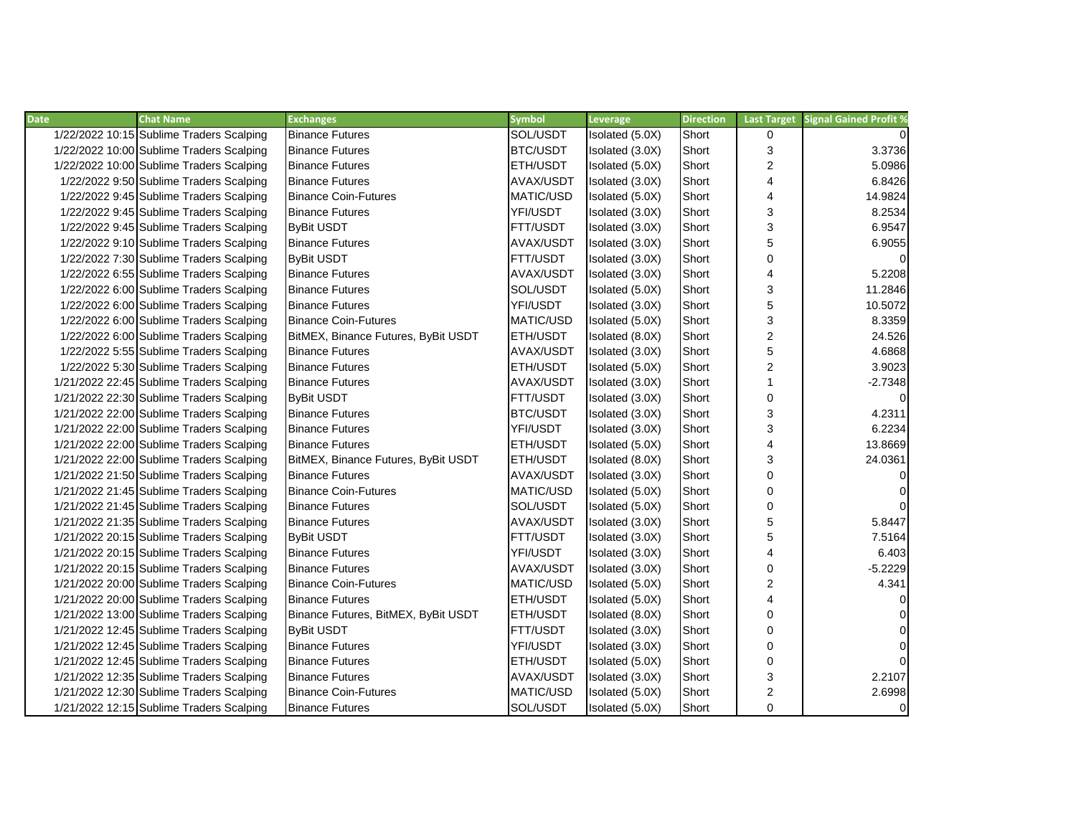| <b>Date</b> | <b>Chat Name</b>                         | <b>Exchanges</b>                    | <b>Symbol</b>    | Leverage        | <b>Direction</b> | <b>Last Target</b> | <b>Signal Gained Profit %</b> |
|-------------|------------------------------------------|-------------------------------------|------------------|-----------------|------------------|--------------------|-------------------------------|
|             | 1/22/2022 10:15 Sublime Traders Scalping | <b>Binance Futures</b>              | SOL/USDT         | Isolated (5.0X) | Short            | $\Omega$           |                               |
|             | 1/22/2022 10:00 Sublime Traders Scalping | <b>Binance Futures</b>              | <b>BTC/USDT</b>  | Isolated (3.0X) | Short            | 3                  | 3.3736                        |
|             | 1/22/2022 10:00 Sublime Traders Scalping | <b>Binance Futures</b>              | ETH/USDT         | Isolated (5.0X) | Short            | $\overline{c}$     | 5.0986                        |
|             | 1/22/2022 9:50 Sublime Traders Scalping  | <b>Binance Futures</b>              | AVAX/USDT        | Isolated (3.0X) | Short            | 4                  | 6.8426                        |
|             | 1/22/2022 9:45 Sublime Traders Scalping  | <b>Binance Coin-Futures</b>         | MATIC/USD        | Isolated (5.0X) | Short            | 4                  | 14.9824                       |
|             | 1/22/2022 9:45 Sublime Traders Scalping  | <b>Binance Futures</b>              | YFI/USDT         | Isolated (3.0X) | Short            | 3                  | 8.2534                        |
|             | 1/22/2022 9:45 Sublime Traders Scalping  | <b>ByBit USDT</b>                   | FTT/USDT         | Isolated (3.0X) | Short            | 3                  | 6.9547                        |
|             | 1/22/2022 9:10 Sublime Traders Scalping  | <b>Binance Futures</b>              | AVAX/USDT        | Isolated (3.0X) | Short            | 5                  | 6.9055                        |
|             | 1/22/2022 7:30 Sublime Traders Scalping  | <b>ByBit USDT</b>                   | FTT/USDT         | Isolated (3.0X) | Short            | 0                  |                               |
|             | 1/22/2022 6:55 Sublime Traders Scalping  | <b>Binance Futures</b>              | AVAX/USDT        | Isolated (3.0X) | Short            | 4                  | 5.2208                        |
|             | 1/22/2022 6:00 Sublime Traders Scalping  | <b>Binance Futures</b>              | SOL/USDT         | Isolated (5.0X) | Short            | 3                  | 11.2846                       |
|             | 1/22/2022 6:00 Sublime Traders Scalping  | <b>Binance Futures</b>              | YFI/USDT         | Isolated (3.0X) | Short            | 5                  | 10.5072                       |
|             | 1/22/2022 6:00 Sublime Traders Scalping  | <b>Binance Coin-Futures</b>         | MATIC/USD        | Isolated (5.0X) | Short            | 3                  | 8.3359                        |
|             | 1/22/2022 6:00 Sublime Traders Scalping  | BitMEX, Binance Futures, ByBit USDT | ETH/USDT         | Isolated (8.0X) | Short            | $\boldsymbol{2}$   | 24.526                        |
|             | 1/22/2022 5:55 Sublime Traders Scalping  | <b>Binance Futures</b>              | AVAX/USDT        | Isolated (3.0X) | Short            | 5                  | 4.6868                        |
|             | 1/22/2022 5:30 Sublime Traders Scalping  | <b>Binance Futures</b>              | ETH/USDT         | Isolated (5.0X) | Short            | 2                  | 3.9023                        |
|             | 1/21/2022 22:45 Sublime Traders Scalping | <b>Binance Futures</b>              | AVAX/USDT        | Isolated (3.0X) | Short            |                    | $-2.7348$                     |
|             | 1/21/2022 22:30 Sublime Traders Scalping | <b>ByBit USDT</b>                   | FTT/USDT         | Isolated (3.0X) | Short            | 0                  |                               |
|             | 1/21/2022 22:00 Sublime Traders Scalping | <b>Binance Futures</b>              | <b>BTC/USDT</b>  | Isolated (3.0X) | Short            | 3                  | 4.2311                        |
|             | 1/21/2022 22:00 Sublime Traders Scalping | <b>Binance Futures</b>              | YFI/USDT         | Isolated (3.0X) | Short            | 3                  | 6.2234                        |
|             | 1/21/2022 22:00 Sublime Traders Scalping | <b>Binance Futures</b>              | ETH/USDT         | Isolated (5.0X) | Short            | 4                  | 13.8669                       |
|             | 1/21/2022 22:00 Sublime Traders Scalping | BitMEX, Binance Futures, ByBit USDT | ETH/USDT         | Isolated (8.0X) | Short            | 3                  | 24.0361                       |
|             | 1/21/2022 21:50 Sublime Traders Scalping | <b>Binance Futures</b>              | AVAX/USDT        | Isolated (3.0X) | Short            | $\mathbf 0$        | $\mathbf 0$                   |
|             | 1/21/2022 21:45 Sublime Traders Scalping | <b>Binance Coin-Futures</b>         | MATIC/USD        | Isolated (5.0X) | Short            | 0                  | $\Omega$                      |
|             | 1/21/2022 21:45 Sublime Traders Scalping | <b>Binance Futures</b>              | SOL/USDT         | Isolated (5.0X) | Short            | 0                  | $\Omega$                      |
|             | 1/21/2022 21:35 Sublime Traders Scalping | <b>Binance Futures</b>              | AVAX/USDT        | Isolated (3.0X) | Short            | 5                  | 5.8447                        |
|             | 1/21/2022 20:15 Sublime Traders Scalping | <b>ByBit USDT</b>                   | FTT/USDT         | Isolated (3.0X) | Short            | 5                  | 7.5164                        |
|             | 1/21/2022 20:15 Sublime Traders Scalping | <b>Binance Futures</b>              | YFI/USDT         | Isolated (3.0X) | Short            | 4                  | 6.403                         |
|             | 1/21/2022 20:15 Sublime Traders Scalping | <b>Binance Futures</b>              | AVAX/USDT        | Isolated (3.0X) | Short            | 0                  | $-5.2229$                     |
|             | 1/21/2022 20:00 Sublime Traders Scalping | <b>Binance Coin-Futures</b>         | MATIC/USD        | Isolated (5.0X) | Short            | 2                  | 4.341                         |
|             | 1/21/2022 20:00 Sublime Traders Scalping | <b>Binance Futures</b>              | ETH/USDT         | Isolated (5.0X) | Short            | 4                  |                               |
|             | 1/21/2022 13:00 Sublime Traders Scalping | Binance Futures, BitMEX, ByBit USDT | ETH/USDT         | Isolated (8.0X) | Short            | $\mathbf 0$        |                               |
|             | 1/21/2022 12:45 Sublime Traders Scalping | <b>ByBit USDT</b>                   | FTT/USDT         | Isolated (3.0X) | Short            | $\mathbf 0$        | $\Omega$                      |
|             | 1/21/2022 12:45 Sublime Traders Scalping | <b>Binance Futures</b>              | YFI/USDT         | Isolated (3.0X) | Short            | $\mathbf 0$        | $\Omega$                      |
|             | 1/21/2022 12:45 Sublime Traders Scalping | <b>Binance Futures</b>              | ETH/USDT         | Isolated (5.0X) | Short            | 0                  |                               |
|             | 1/21/2022 12:35 Sublime Traders Scalping | <b>Binance Futures</b>              | <b>AVAX/USDT</b> | Isolated (3.0X) | Short            | 3                  | 2.2107                        |
|             | 1/21/2022 12:30 Sublime Traders Scalping | <b>Binance Coin-Futures</b>         | MATIC/USD        | Isolated (5.0X) | Short            | $\boldsymbol{2}$   | 2.6998                        |
|             | 1/21/2022 12:15 Sublime Traders Scalping | <b>Binance Futures</b>              | SOL/USDT         | Isolated (5.0X) | Short            | 0                  | 0                             |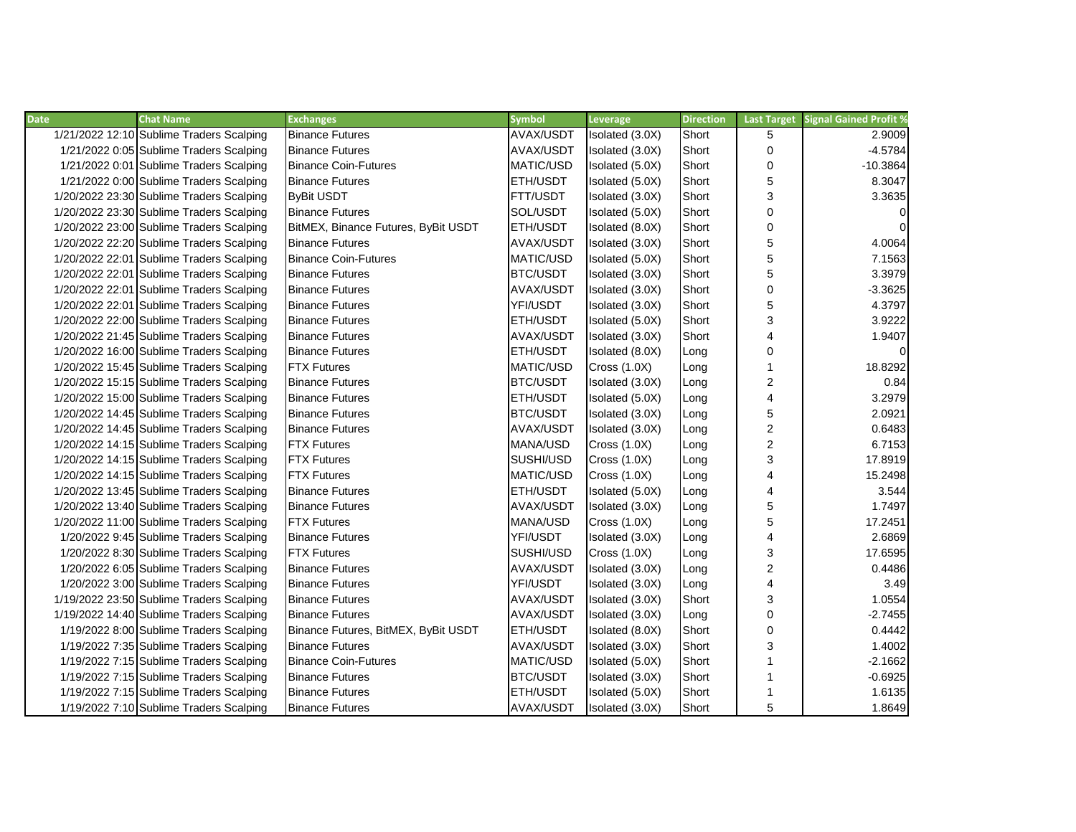| <b>Date</b> | <b>Chat Name</b>                         | <b>Exchanges</b>                    | <b>Symbol</b>    | Leverage            | <b>Direction</b> | <b>Last Target</b>      | <b>Signal Gained Profit %</b> |
|-------------|------------------------------------------|-------------------------------------|------------------|---------------------|------------------|-------------------------|-------------------------------|
|             | 1/21/2022 12:10 Sublime Traders Scalping | <b>Binance Futures</b>              | AVAX/USDT        | Isolated (3.0X)     | Short            | 5                       | 2.9009                        |
|             | 1/21/2022 0:05 Sublime Traders Scalping  | <b>Binance Futures</b>              | AVAX/USDT        | Isolated (3.0X)     | Short            | 0                       | $-4.5784$                     |
|             | 1/21/2022 0:01 Sublime Traders Scalping  | <b>Binance Coin-Futures</b>         | MATIC/USD        | Isolated (5.0X)     | Short            | 0                       | $-10.3864$                    |
|             | 1/21/2022 0:00 Sublime Traders Scalping  | <b>Binance Futures</b>              | ETH/USDT         | Isolated (5.0X)     | Short            | 5                       | 8.3047                        |
|             | 1/20/2022 23:30 Sublime Traders Scalping | <b>ByBit USDT</b>                   | <b>FTT/USDT</b>  | Isolated (3.0X)     | Short            | 3                       | 3.3635                        |
|             | 1/20/2022 23:30 Sublime Traders Scalping | <b>Binance Futures</b>              | SOL/USDT         | Isolated (5.0X)     | Short            | 0                       | $\overline{0}$                |
|             | 1/20/2022 23:00 Sublime Traders Scalping | BitMEX, Binance Futures, ByBit USDT | ETH/USDT         | Isolated (8.0X)     | Short            | 0                       | $\overline{0}$                |
|             | 1/20/2022 22:20 Sublime Traders Scalping | <b>Binance Futures</b>              | AVAX/USDT        | Isolated (3.0X)     | Short            | 5                       | 4.0064                        |
|             | 1/20/2022 22:01 Sublime Traders Scalping | <b>Binance Coin-Futures</b>         | MATIC/USD        | Isolated (5.0X)     | Short            | 5                       | 7.1563                        |
|             | 1/20/2022 22:01 Sublime Traders Scalping | <b>Binance Futures</b>              | BTC/USDT         | Isolated (3.0X)     | Short            | 5                       | 3.3979                        |
|             | 1/20/2022 22:01 Sublime Traders Scalping | <b>Binance Futures</b>              | AVAX/USDT        | Isolated (3.0X)     | Short            | 0                       | $-3.3625$                     |
|             | 1/20/2022 22:01 Sublime Traders Scalping | <b>Binance Futures</b>              | YFI/USDT         | Isolated (3.0X)     | Short            | 5                       | 4.3797                        |
|             | 1/20/2022 22:00 Sublime Traders Scalping | <b>Binance Futures</b>              | ETH/USDT         | Isolated (5.0X)     | Short            | 3                       | 3.9222                        |
|             | 1/20/2022 21:45 Sublime Traders Scalping | <b>Binance Futures</b>              | AVAX/USDT        | Isolated (3.0X)     | Short            | $\overline{\mathbf{4}}$ | 1.9407                        |
|             | 1/20/2022 16:00 Sublime Traders Scalping | <b>Binance Futures</b>              | ETH/USDT         | Isolated (8.0X)     | Long             | 0                       | $\overline{0}$                |
|             | 1/20/2022 15:45 Sublime Traders Scalping | <b>FTX Futures</b>                  | <b>MATIC/USD</b> | Cross(1.0X)         | Long             | 1                       | 18.8292                       |
|             | 1/20/2022 15:15 Sublime Traders Scalping | <b>Binance Futures</b>              | <b>BTC/USDT</b>  | Isolated (3.0X)     | Long             | $\overline{c}$          | 0.84                          |
|             | 1/20/2022 15:00 Sublime Traders Scalping | <b>Binance Futures</b>              | ETH/USDT         | Isolated (5.0X)     | Long             | $\overline{\mathbf{4}}$ | 3.2979                        |
|             | 1/20/2022 14:45 Sublime Traders Scalping | <b>Binance Futures</b>              | <b>BTC/USDT</b>  | Isolated (3.0X)     | Long             | 5                       | 2.0921                        |
|             | 1/20/2022 14:45 Sublime Traders Scalping | <b>Binance Futures</b>              | AVAX/USDT        | Isolated (3.0X)     | Long             | $\overline{\mathbf{c}}$ | 0.6483                        |
|             | 1/20/2022 14:15 Sublime Traders Scalping | <b>FTX Futures</b>                  | MANA/USD         | <b>Cross (1.0X)</b> | Long             | $\overline{\mathbf{c}}$ | 6.7153                        |
|             | 1/20/2022 14:15 Sublime Traders Scalping | <b>FTX Futures</b>                  | SUSHI/USD        | <b>Cross (1.0X)</b> | Long             | 3                       | 17.8919                       |
|             | 1/20/2022 14:15 Sublime Traders Scalping | <b>FTX Futures</b>                  | MATIC/USD        | <b>Cross (1.0X)</b> | Long             | $\overline{4}$          | 15.2498                       |
|             | 1/20/2022 13:45 Sublime Traders Scalping | <b>Binance Futures</b>              | ETH/USDT         | Isolated (5.0X)     | Long             | 4                       | 3.544                         |
|             | 1/20/2022 13:40 Sublime Traders Scalping | <b>Binance Futures</b>              | <b>AVAX/USDT</b> | Isolated (3.0X)     | Long             | 5                       | 1.7497                        |
|             | 1/20/2022 11:00 Sublime Traders Scalping | <b>FTX Futures</b>                  | <b>MANA/USD</b>  | Cross(1.0X)         | Long             | 5                       | 17.2451                       |
|             | 1/20/2022 9:45 Sublime Traders Scalping  | <b>Binance Futures</b>              | YFI/USDT         | Isolated (3.0X)     | Long             | 4                       | 2.6869                        |
|             | 1/20/2022 8:30 Sublime Traders Scalping  | <b>FTX Futures</b>                  | SUSHI/USD        | <b>Cross (1.0X)</b> | Long             | 3                       | 17.6595                       |
|             | 1/20/2022 6:05 Sublime Traders Scalping  | <b>Binance Futures</b>              | AVAX/USDT        | Isolated (3.0X)     | Long             | $\overline{c}$          | 0.4486                        |
|             | 1/20/2022 3:00 Sublime Traders Scalping  | <b>Binance Futures</b>              | YFI/USDT         | Isolated (3.0X)     | Long             | $\overline{\mathbf{4}}$ | 3.49                          |
|             | 1/19/2022 23:50 Sublime Traders Scalping | <b>Binance Futures</b>              | AVAX/USDT        | Isolated (3.0X)     | Short            | 3                       | 1.0554                        |
|             | 1/19/2022 14:40 Sublime Traders Scalping | <b>Binance Futures</b>              | AVAX/USDT        | Isolated (3.0X)     | Long             | 0                       | $-2.7455$                     |
|             | 1/19/2022 8:00 Sublime Traders Scalping  | Binance Futures, BitMEX, ByBit USDT | <b>ETH/USDT</b>  | Isolated (8.0X)     | Short            | 0                       | 0.4442                        |
|             | 1/19/2022 7:35 Sublime Traders Scalping  | <b>Binance Futures</b>              | AVAX/USDT        | Isolated (3.0X)     | Short            | 3                       | 1.4002                        |
|             | 1/19/2022 7:15 Sublime Traders Scalping  | <b>Binance Coin-Futures</b>         | MATIC/USD        | Isolated (5.0X)     | Short            | $\mathbf{1}$            | $-2.1662$                     |
|             | 1/19/2022 7:15 Sublime Traders Scalping  | <b>Binance Futures</b>              | BTC/USDT         | Isolated (3.0X)     | Short            | 1                       | $-0.6925$                     |
|             | 1/19/2022 7:15 Sublime Traders Scalping  | <b>Binance Futures</b>              | <b>ETH/USDT</b>  | Isolated (5.0X)     | Short            | 1                       | 1.6135                        |
|             | 1/19/2022 7:10 Sublime Traders Scalping  | <b>Binance Futures</b>              | AVAX/USDT        | Isolated (3.0X)     | Short            | 5                       | 1.8649                        |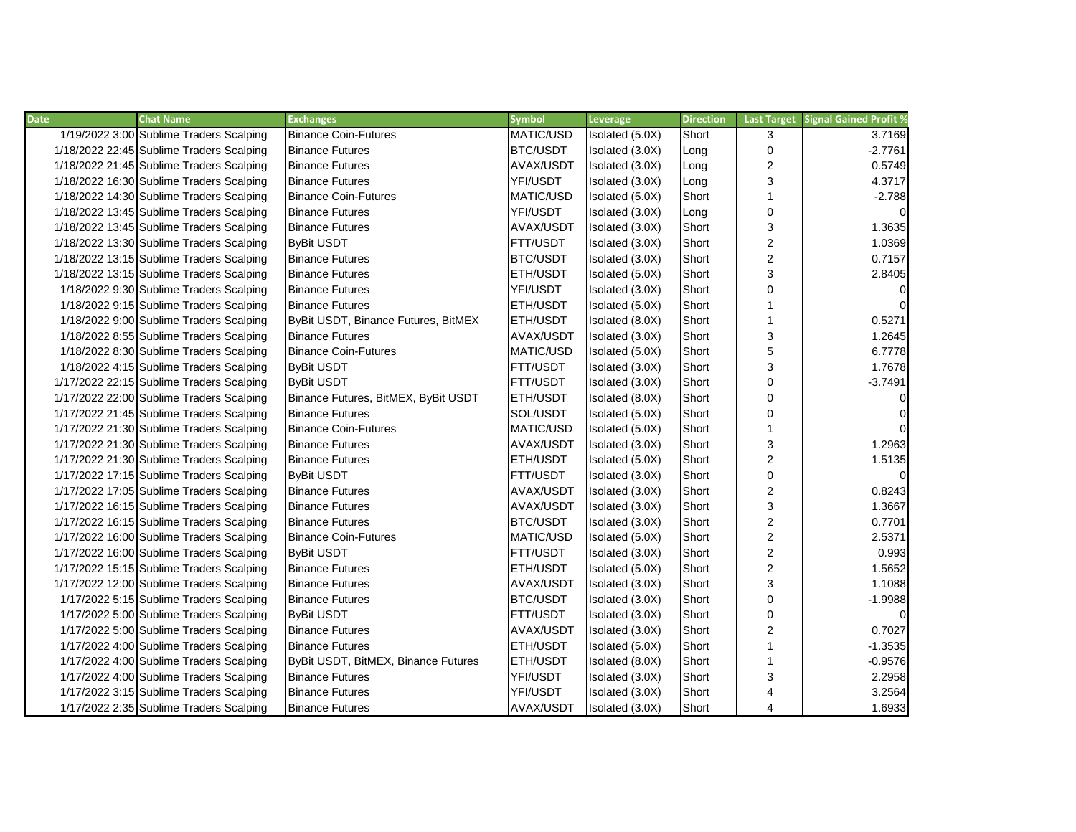| <b>Date</b> | <b>Chat Name</b>                         | <b>Exchanges</b>                    | <b>Symbol</b>    | Leverage        | <b>Direction</b> | <b>Last Target</b>      | <b>Signal Gained Profit %</b> |
|-------------|------------------------------------------|-------------------------------------|------------------|-----------------|------------------|-------------------------|-------------------------------|
|             | 1/19/2022 3:00 Sublime Traders Scalping  | <b>Binance Coin-Futures</b>         | MATIC/USD        | Isolated (5.0X) | Short            | 3                       | 3.7169                        |
|             | 1/18/2022 22:45 Sublime Traders Scalping | <b>Binance Futures</b>              | BTC/USDT         | Isolated (3.0X) | Long             | 0                       | $-2.7761$                     |
|             | 1/18/2022 21:45 Sublime Traders Scalping | <b>Binance Futures</b>              | <b>AVAX/USDT</b> | Isolated (3.0X) | Long             | $\overline{c}$          | 0.5749                        |
|             | 1/18/2022 16:30 Sublime Traders Scalping | <b>Binance Futures</b>              | YFI/USDT         | Isolated (3.0X) | Long             | 3                       | 4.3717                        |
|             | 1/18/2022 14:30 Sublime Traders Scalping | <b>Binance Coin-Futures</b>         | MATIC/USD        | Isolated (5.0X) | Short            | $\mathbf{1}$            | $-2.788$                      |
|             | 1/18/2022 13:45 Sublime Traders Scalping | <b>Binance Futures</b>              | YFI/USDT         | Isolated (3.0X) | Long             | $\mathbf 0$             | 0                             |
|             | 1/18/2022 13:45 Sublime Traders Scalping | <b>Binance Futures</b>              | AVAX/USDT        | Isolated (3.0X) | Short            | 3                       | 1.3635                        |
|             | 1/18/2022 13:30 Sublime Traders Scalping | <b>ByBit USDT</b>                   | FTT/USDT         | Isolated (3.0X) | Short            | $\overline{\mathbf{c}}$ | 1.0369                        |
|             | 1/18/2022 13:15 Sublime Traders Scalping | <b>Binance Futures</b>              | <b>BTC/USDT</b>  | Isolated (3.0X) | Short            | $\overline{2}$          | 0.7157                        |
|             | 1/18/2022 13:15 Sublime Traders Scalping | <b>Binance Futures</b>              | ETH/USDT         | Isolated (5.0X) | Short            | 3                       | 2.8405                        |
|             | 1/18/2022 9:30 Sublime Traders Scalping  | <b>Binance Futures</b>              | YFI/USDT         | Isolated (3.0X) | Short            | $\mathbf 0$             | $\Omega$                      |
|             | 1/18/2022 9:15 Sublime Traders Scalping  | <b>Binance Futures</b>              | <b>ETH/USDT</b>  | Isolated (5.0X) | Short            |                         | $\Omega$                      |
|             | 1/18/2022 9:00 Sublime Traders Scalping  | ByBit USDT, Binance Futures, BitMEX | ETH/USDT         | Isolated (8.0X) | Short            | 1                       | 0.5271                        |
|             | 1/18/2022 8:55 Sublime Traders Scalping  | <b>Binance Futures</b>              | AVAX/USDT        | Isolated (3.0X) | Short            | 3                       | 1.2645                        |
|             | 1/18/2022 8:30 Sublime Traders Scalping  | <b>Binance Coin-Futures</b>         | MATIC/USD        | Isolated (5.0X) | Short            | 5                       | 6.7778                        |
|             | 1/18/2022 4:15 Sublime Traders Scalping  | <b>ByBit USDT</b>                   | FTT/USDT         | Isolated (3.0X) | Short            | 3                       | 1.7678                        |
|             | 1/17/2022 22:15 Sublime Traders Scalping | <b>ByBit USDT</b>                   | <b>FTT/USDT</b>  | Isolated (3.0X) | Short            | 0                       | $-3.7491$                     |
|             | 1/17/2022 22:00 Sublime Traders Scalping | Binance Futures, BitMEX, ByBit USDT | <b>ETH/USDT</b>  | Isolated (8.0X) | Short            | $\mathbf 0$             | $\overline{0}$                |
|             | 1/17/2022 21:45 Sublime Traders Scalping | <b>Binance Futures</b>              | SOL/USDT         | Isolated (5.0X) | Short            | $\Omega$                | $\overline{0}$                |
|             | 1/17/2022 21:30 Sublime Traders Scalping | <b>Binance Coin-Futures</b>         | <b>MATIC/USD</b> | Isolated (5.0X) | Short            | 1                       | $\Omega$                      |
|             | 1/17/2022 21:30 Sublime Traders Scalping | <b>Binance Futures</b>              | <b>AVAX/USDT</b> | Isolated (3.0X) | Short            | 3                       | 1.2963                        |
|             | 1/17/2022 21:30 Sublime Traders Scalping | <b>Binance Futures</b>              | <b>ETH/USDT</b>  | Isolated (5.0X) | Short            | $\overline{c}$          | 1.5135                        |
|             | 1/17/2022 17:15 Sublime Traders Scalping | <b>ByBit USDT</b>                   | FTT/USDT         | Isolated (3.0X) | Short            | 0                       | $\Omega$                      |
|             | 1/17/2022 17:05 Sublime Traders Scalping | <b>Binance Futures</b>              | <b>AVAX/USDT</b> | Isolated (3.0X) | Short            | $\overline{c}$          | 0.8243                        |
|             | 1/17/2022 16:15 Sublime Traders Scalping | <b>Binance Futures</b>              | AVAX/USDT        | Isolated (3.0X) | Short            | 3                       | 1.3667                        |
|             | 1/17/2022 16:15 Sublime Traders Scalping | <b>Binance Futures</b>              | BTC/USDT         | Isolated (3.0X) | Short            | $\overline{c}$          | 0.7701                        |
|             | 1/17/2022 16:00 Sublime Traders Scalping | <b>Binance Coin-Futures</b>         | MATIC/USD        | Isolated (5.0X) | Short            | $\overline{c}$          | 2.5371                        |
|             | 1/17/2022 16:00 Sublime Traders Scalping | <b>ByBit USDT</b>                   | FTT/USDT         | Isolated (3.0X) | Short            | $\overline{\mathbf{c}}$ | 0.993                         |
|             | 1/17/2022 15:15 Sublime Traders Scalping | <b>Binance Futures</b>              | <b>ETH/USDT</b>  | Isolated (5.0X) | Short            | $\overline{2}$          | 1.5652                        |
|             | 1/17/2022 12:00 Sublime Traders Scalping | <b>Binance Futures</b>              | AVAX/USDT        | Isolated (3.0X) | Short            | 3                       | 1.1088                        |
|             | 1/17/2022 5:15 Sublime Traders Scalping  | <b>Binance Futures</b>              | BTC/USDT         | Isolated (3.0X) | Short            | $\mathbf 0$             | $-1.9988$                     |
|             | 1/17/2022 5:00 Sublime Traders Scalping  | <b>ByBit USDT</b>                   | FTT/USDT         | Isolated (3.0X) | Short            | 0                       | $\Omega$                      |
|             | 1/17/2022 5:00 Sublime Traders Scalping  | <b>Binance Futures</b>              | AVAX/USDT        | Isolated (3.0X) | Short            | 2                       | 0.7027                        |
|             | 1/17/2022 4:00 Sublime Traders Scalping  | <b>Binance Futures</b>              | <b>ETH/USDT</b>  | Isolated (5.0X) | Short            | 1                       | $-1.3535$                     |
|             | 1/17/2022 4:00 Sublime Traders Scalping  | ByBit USDT, BitMEX, Binance Futures | ETH/USDT         | Isolated (8.0X) | Short            | 1                       | $-0.9576$                     |
|             | 1/17/2022 4:00 Sublime Traders Scalping  | <b>Binance Futures</b>              | YFI/USDT         | Isolated (3.0X) | Short            | 3                       | 2.2958                        |
|             | 1/17/2022 3:15 Sublime Traders Scalping  | <b>Binance Futures</b>              | YFI/USDT         | Isolated (3.0X) | Short            | 4                       | 3.2564                        |
|             | 1/17/2022 2:35 Sublime Traders Scalping  | <b>Binance Futures</b>              | AVAX/USDT        | Isolated (3.0X) | Short            | 4                       | 1.6933                        |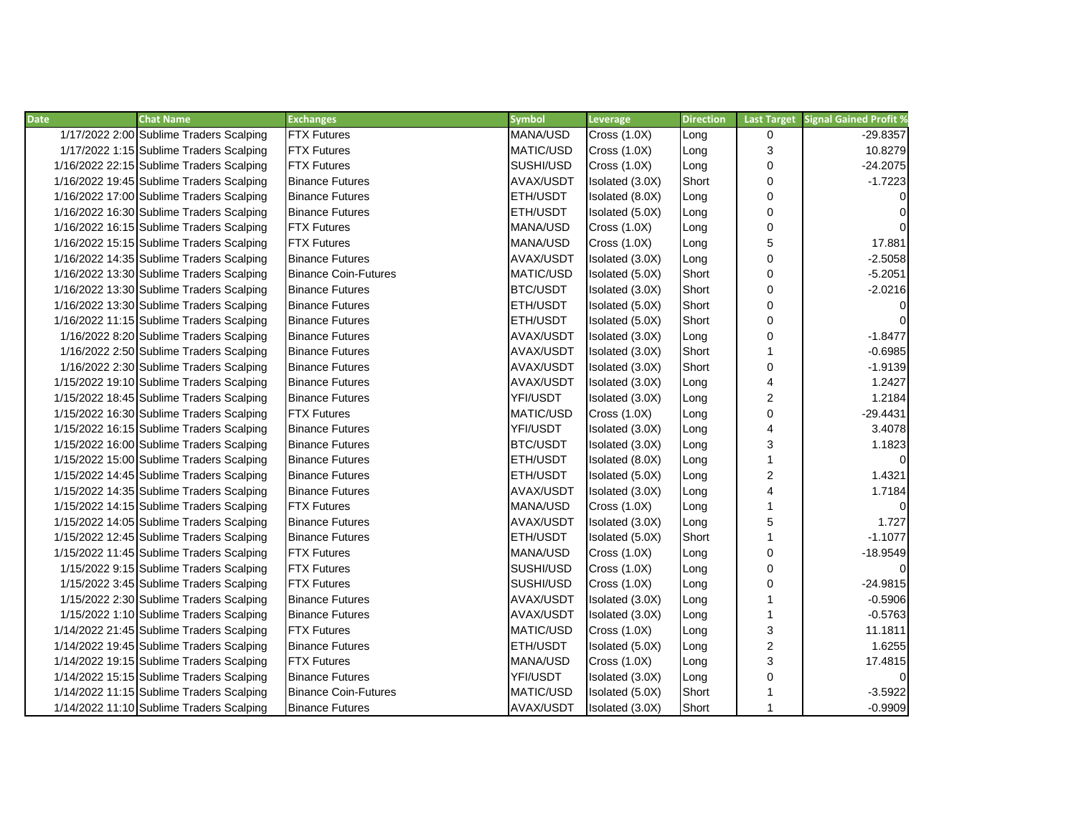| <b>Date</b> | <b>Chat Name</b>                         | <b>Exchanges</b>            | <b>Symbol</b>    | Leverage            | <b>Direction</b> | <b>Last Target</b>      | <b>Signal Gained Profit %</b> |
|-------------|------------------------------------------|-----------------------------|------------------|---------------------|------------------|-------------------------|-------------------------------|
|             | 1/17/2022 2:00 Sublime Traders Scalping  | <b>FTX Futures</b>          | MANA/USD         | <b>Cross (1.0X)</b> | Long             | 0                       | $-29.8357$                    |
|             | 1/17/2022 1:15 Sublime Traders Scalping  | <b>FTX Futures</b>          | MATIC/USD        | <b>Cross (1.0X)</b> | Long             | 3                       | 10.8279                       |
|             | 1/16/2022 22:15 Sublime Traders Scalping | <b>FTX Futures</b>          | SUSHI/USD        | <b>Cross (1.0X)</b> | Long             | 0                       | $-24.2075$                    |
|             | 1/16/2022 19:45 Sublime Traders Scalping | <b>Binance Futures</b>      | AVAX/USDT        | Isolated (3.0X)     | Short            | 0                       | $-1.7223$                     |
|             | 1/16/2022 17:00 Sublime Traders Scalping | <b>Binance Futures</b>      | <b>ETH/USDT</b>  | Isolated (8.0X)     | Long             | 0                       | $\overline{0}$                |
|             | 1/16/2022 16:30 Sublime Traders Scalping | <b>Binance Futures</b>      | <b>ETH/USDT</b>  | Isolated (5.0X)     | Long             | $\Omega$                | $\overline{0}$                |
|             | 1/16/2022 16:15 Sublime Traders Scalping | <b>FTX Futures</b>          | MANA/USD         | <b>Cross (1.0X)</b> | Long             | 0                       | $\overline{0}$                |
|             | 1/16/2022 15:15 Sublime Traders Scalping | <b>FTX Futures</b>          | <b>MANA/USD</b>  | <b>Cross (1.0X)</b> | Long             | 5                       | 17.881                        |
|             | 1/16/2022 14:35 Sublime Traders Scalping | <b>Binance Futures</b>      | AVAX/USDT        | Isolated (3.0X)     | Long             | 0                       | $-2.5058$                     |
|             | 1/16/2022 13:30 Sublime Traders Scalping | <b>Binance Coin-Futures</b> | MATIC/USD        | Isolated (5.0X)     | Short            | 0                       | $-5.2051$                     |
|             | 1/16/2022 13:30 Sublime Traders Scalping | <b>Binance Futures</b>      | BTC/USDT         | Isolated (3.0X)     | Short            | 0                       | $-2.0216$                     |
|             | 1/16/2022 13:30 Sublime Traders Scalping | <b>Binance Futures</b>      | <b>ETH/USDT</b>  | Isolated (5.0X)     | Short            | 0                       | $\overline{0}$                |
|             | 1/16/2022 11:15 Sublime Traders Scalping | <b>Binance Futures</b>      | ETH/USDT         | Isolated (5.0X)     | Short            | 0                       | $\Omega$                      |
|             | 1/16/2022 8:20 Sublime Traders Scalping  | <b>Binance Futures</b>      | AVAX/USDT        | Isolated (3.0X)     | Long             | 0                       | $-1.8477$                     |
|             | 1/16/2022 2:50 Sublime Traders Scalping  | <b>Binance Futures</b>      | AVAX/USDT        | Isolated (3.0X)     | Short            | $\mathbf{1}$            | $-0.6985$                     |
|             | 1/16/2022 2:30 Sublime Traders Scalping  | <b>Binance Futures</b>      | AVAX/USDT        | Isolated (3.0X)     | Short            | 0                       | $-1.9139$                     |
|             | 1/15/2022 19:10 Sublime Traders Scalping | <b>Binance Futures</b>      | AVAX/USDT        | Isolated (3.0X)     | Long             | 4                       | 1.2427                        |
|             | 1/15/2022 18:45 Sublime Traders Scalping | <b>Binance Futures</b>      | YFI/USDT         | Isolated (3.0X)     | Long             | 2                       | 1.2184                        |
|             | 1/15/2022 16:30 Sublime Traders Scalping | <b>FTX Futures</b>          | <b>MATIC/USD</b> | Cross(1.0X)         | Long             | 0                       | $-29.4431$                    |
|             | 1/15/2022 16:15 Sublime Traders Scalping | <b>Binance Futures</b>      | YFI/USDT         | Isolated (3.0X)     | Long             | $\overline{\mathbf{4}}$ | 3.4078                        |
|             | 1/15/2022 16:00 Sublime Traders Scalping | <b>Binance Futures</b>      | <b>BTC/USDT</b>  | Isolated (3.0X)     | Long             | 3                       | 1.1823                        |
|             | 1/15/2022 15:00 Sublime Traders Scalping | <b>Binance Futures</b>      | <b>ETH/USDT</b>  | Isolated (8.0X)     | Long             | $\mathbf{1}$            | $\overline{0}$                |
|             | 1/15/2022 14:45 Sublime Traders Scalping | <b>Binance Futures</b>      | <b>ETH/USDT</b>  | Isolated (5.0X)     | Long             | $\overline{\mathbf{c}}$ | 1.4321                        |
|             | 1/15/2022 14:35 Sublime Traders Scalping | <b>Binance Futures</b>      | AVAX/USDT        | Isolated (3.0X)     | Long             | $\overline{\mathbf{4}}$ | 1.7184                        |
|             | 1/15/2022 14:15 Sublime Traders Scalping | <b>FTX Futures</b>          | MANA/USD         | Cross $(1.0X)$      | Long             | $\mathbf{1}$            | $\overline{0}$                |
|             | 1/15/2022 14:05 Sublime Traders Scalping | <b>Binance Futures</b>      | AVAX/USDT        | Isolated (3.0X)     | Long             | 5                       | 1.727                         |
|             | 1/15/2022 12:45 Sublime Traders Scalping | <b>Binance Futures</b>      | ETH/USDT         | Isolated (5.0X)     | Short            | 1                       | $-1.1077$                     |
|             | 1/15/2022 11:45 Sublime Traders Scalping | <b>FTX Futures</b>          | MANA/USD         | <b>Cross (1.0X)</b> | Long             | 0                       | $-18.9549$                    |
|             | 1/15/2022 9:15 Sublime Traders Scalping  | <b>FTX</b> Futures          | SUSHI/USD        | <b>Cross (1.0X)</b> | Long             | 0                       | $\overline{0}$                |
|             | 1/15/2022 3:45 Sublime Traders Scalping  | <b>FTX Futures</b>          | SUSHI/USD        | <b>Cross (1.0X)</b> | Long             | 0                       | $-24.9815$                    |
|             | 1/15/2022 2:30 Sublime Traders Scalping  | <b>Binance Futures</b>      | AVAX/USDT        | Isolated (3.0X)     | Long             | 1                       | $-0.5906$                     |
|             | 1/15/2022 1:10 Sublime Traders Scalping  | <b>Binance Futures</b>      | AVAX/USDT        | Isolated (3.0X)     | Long             | 1                       | $-0.5763$                     |
|             | 1/14/2022 21:45 Sublime Traders Scalping | <b>FTX Futures</b>          | MATIC/USD        | <b>Cross (1.0X)</b> | Long             | 3                       | 11.1811                       |
|             | 1/14/2022 19:45 Sublime Traders Scalping | <b>Binance Futures</b>      | <b>ETH/USDT</b>  | Isolated (5.0X)     | Long             | $\overline{\mathbf{c}}$ | 1.6255                        |
|             | 1/14/2022 19:15 Sublime Traders Scalping | <b>FTX Futures</b>          | MANA/USD         | <b>Cross (1.0X)</b> | Long             | 3                       | 17.4815                       |
|             | 1/14/2022 15:15 Sublime Traders Scalping | <b>Binance Futures</b>      | YFI/USDT         | Isolated (3.0X)     | Long             | 0                       | $\Omega$                      |
|             | 1/14/2022 11:15 Sublime Traders Scalping | <b>Binance Coin-Futures</b> | <b>MATIC/USD</b> | Isolated (5.0X)     | Short            |                         | $-3.5922$                     |
|             | 1/14/2022 11:10 Sublime Traders Scalping | <b>Binance Futures</b>      | AVAX/USDT        | Isolated (3.0X)     | Short            | 1                       | $-0.9909$                     |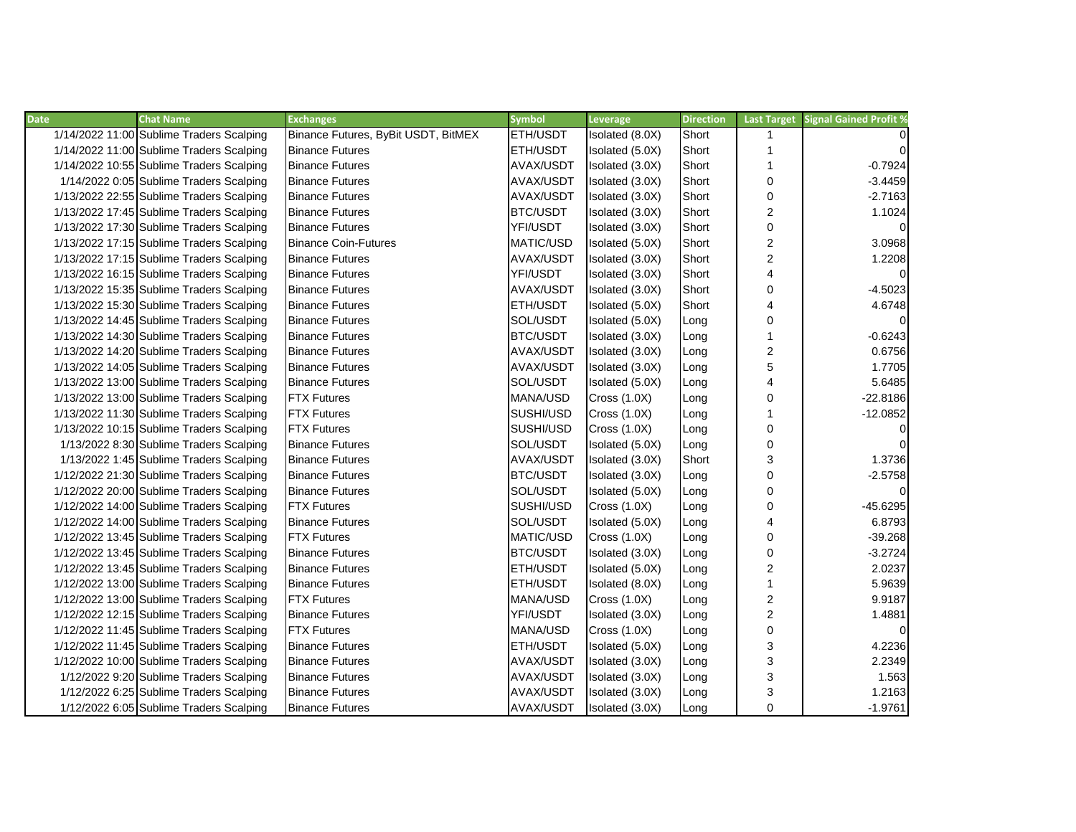| <b>Date</b> | <b>Chat Name</b>                         | <b>Exchanges</b>                    | <b>Symbol</b>    | Leverage            | <b>Direction</b> | <b>Last Target</b>      | <b>Signal Gained Profit %</b> |
|-------------|------------------------------------------|-------------------------------------|------------------|---------------------|------------------|-------------------------|-------------------------------|
|             | 1/14/2022 11:00 Sublime Traders Scalping | Binance Futures, ByBit USDT, BitMEX | ETH/USDT         | Isolated (8.0X)     | Short            | 1                       |                               |
|             | 1/14/2022 11:00 Sublime Traders Scalping | <b>Binance Futures</b>              | ETH/USDT         | Isolated (5.0X)     | Short            | 1                       | $\Omega$                      |
|             | 1/14/2022 10:55 Sublime Traders Scalping | <b>Binance Futures</b>              | AVAX/USDT        | Isolated (3.0X)     | Short            | 1                       | $-0.7924$                     |
|             | 1/14/2022 0:05 Sublime Traders Scalping  | <b>Binance Futures</b>              | AVAX/USDT        | Isolated (3.0X)     | Short            | 0                       | $-3.4459$                     |
|             | 1/13/2022 22:55 Sublime Traders Scalping | <b>Binance Futures</b>              | AVAX/USDT        | Isolated (3.0X)     | Short            | 0                       | $-2.7163$                     |
|             | 1/13/2022 17:45 Sublime Traders Scalping | <b>Binance Futures</b>              | BTC/USDT         | Isolated (3.0X)     | Short            | $\overline{c}$          | 1.1024                        |
|             | 1/13/2022 17:30 Sublime Traders Scalping | <b>Binance Futures</b>              | YFI/USDT         | Isolated (3.0X)     | Short            | 0                       | $\overline{0}$                |
|             | 1/13/2022 17:15 Sublime Traders Scalping | <b>Binance Coin-Futures</b>         | <b>MATIC/USD</b> | Isolated (5.0X)     | Short            | $\overline{\mathbf{c}}$ | 3.0968                        |
|             | 1/13/2022 17:15 Sublime Traders Scalping | <b>Binance Futures</b>              | <b>AVAX/USDT</b> | Isolated (3.0X)     | Short            | $\overline{c}$          | 1.2208                        |
|             | 1/13/2022 16:15 Sublime Traders Scalping | <b>Binance Futures</b>              | YFI/USDT         | Isolated (3.0X)     | Short            | $\overline{4}$          | $\overline{0}$                |
|             | 1/13/2022 15:35 Sublime Traders Scalping | <b>Binance Futures</b>              | AVAX/USDT        | Isolated (3.0X)     | Short            | 0                       | $-4.5023$                     |
|             | 1/13/2022 15:30 Sublime Traders Scalping | <b>Binance Futures</b>              | <b>ETH/USDT</b>  | Isolated (5.0X)     | Short            | $\overline{4}$          | 4.6748                        |
|             | 1/13/2022 14:45 Sublime Traders Scalping | <b>Binance Futures</b>              | SOL/USDT         | Isolated (5.0X)     | Long             | 0                       | $\overline{0}$                |
|             | 1/13/2022 14:30 Sublime Traders Scalping | <b>Binance Futures</b>              | BTC/USDT         | Isolated (3.0X)     | Long             | $\mathbf{1}$            | $-0.6243$                     |
|             | 1/13/2022 14:20 Sublime Traders Scalping | <b>Binance Futures</b>              | AVAX/USDT        | Isolated (3.0X)     | Long             | 2                       | 0.6756                        |
|             | 1/13/2022 14:05 Sublime Traders Scalping | <b>Binance Futures</b>              | AVAX/USDT        | Isolated (3.0X)     | Long             | 5                       | 1.7705                        |
|             | 1/13/2022 13:00 Sublime Traders Scalping | <b>Binance Futures</b>              | SOL/USDT         | Isolated (5.0X)     | Long             | $\overline{4}$          | 5.6485                        |
|             | 1/13/2022 13:00 Sublime Traders Scalping | <b>FTX Futures</b>                  | MANA/USD         | <b>Cross (1.0X)</b> | Long             | 0                       | $-22.8186$                    |
|             | 1/13/2022 11:30 Sublime Traders Scalping | <b>FTX Futures</b>                  | SUSHI/USD        | <b>Cross (1.0X)</b> | Long             | 1                       | $-12.0852$                    |
|             | 1/13/2022 10:15 Sublime Traders Scalping | <b>FTX Futures</b>                  | SUSHI/USD        | <b>Cross (1.0X)</b> | Long             | 0                       | $\overline{0}$                |
|             | 1/13/2022 8:30 Sublime Traders Scalping  | <b>Binance Futures</b>              | SOL/USDT         | Isolated (5.0X)     | Long             | 0                       | $\overline{0}$                |
|             | 1/13/2022 1:45 Sublime Traders Scalping  | <b>Binance Futures</b>              | AVAX/USDT        | Isolated (3.0X)     | Short            | 3                       | 1.3736                        |
|             | 1/12/2022 21:30 Sublime Traders Scalping | <b>Binance Futures</b>              | <b>BTC/USDT</b>  | Isolated (3.0X)     | Long             | 0                       | $-2.5758$                     |
|             | 1/12/2022 20:00 Sublime Traders Scalping | <b>Binance Futures</b>              | SOL/USDT         | Isolated (5.0X)     | Long             | 0                       | $\Omega$                      |
|             | 1/12/2022 14:00 Sublime Traders Scalping | <b>FTX Futures</b>                  | SUSHI/USD        | <b>Cross (1.0X)</b> | Long             | 0                       | $-45.6295$                    |
|             | 1/12/2022 14:00 Sublime Traders Scalping | <b>Binance Futures</b>              | SOL/USDT         | Isolated (5.0X)     | Long             | 4                       | 6.8793                        |
|             | 1/12/2022 13:45 Sublime Traders Scalping | <b>FTX Futures</b>                  | MATIC/USD        | Cross $(1.0X)$      | Long             | 0                       | $-39.268$                     |
|             | 1/12/2022 13:45 Sublime Traders Scalping | <b>Binance Futures</b>              | BTC/USDT         | Isolated (3.0X)     | Long             | 0                       | $-3.2724$                     |
|             | 1/12/2022 13:45 Sublime Traders Scalping | <b>Binance Futures</b>              | ETH/USDT         | Isolated (5.0X)     | Long             | $\overline{\mathbf{c}}$ | 2.0237                        |
|             | 1/12/2022 13:00 Sublime Traders Scalping | <b>Binance Futures</b>              | <b>ETH/USDT</b>  | Isolated (8.0X)     | Long             | $\mathbf{1}$            | 5.9639                        |
|             | 1/12/2022 13:00 Sublime Traders Scalping | <b>FTX Futures</b>                  | MANA/USD         | <b>Cross (1.0X)</b> | Long             | 2                       | 9.9187                        |
|             | 1/12/2022 12:15 Sublime Traders Scalping | <b>Binance Futures</b>              | YFI/USDT         | Isolated (3.0X)     | Long             | $\overline{c}$          | 1.4881                        |
|             | 1/12/2022 11:45 Sublime Traders Scalping | <b>FTX Futures</b>                  | MANA/USD         | <b>Cross (1.0X)</b> | Long             | 0                       | $\Omega$                      |
|             | 1/12/2022 11:45 Sublime Traders Scalping | <b>Binance Futures</b>              | <b>ETH/USDT</b>  | Isolated (5.0X)     | Long             | 3                       | 4.2236                        |
|             | 1/12/2022 10:00 Sublime Traders Scalping | <b>Binance Futures</b>              | AVAX/USDT        | Isolated (3.0X)     | Long             | 3                       | 2.2349                        |
|             | 1/12/2022 9:20 Sublime Traders Scalping  | <b>Binance Futures</b>              | AVAX/USDT        | Isolated (3.0X)     | Long             | 3                       | 1.563                         |
|             | 1/12/2022 6:25 Sublime Traders Scalping  | <b>Binance Futures</b>              | AVAX/USDT        | Isolated (3.0X)     | Long             | 3                       | 1.2163                        |
|             | 1/12/2022 6:05 Sublime Traders Scalping  | <b>Binance Futures</b>              | AVAX/USDT        | Isolated (3.0X)     | Long             | 0                       | $-1.9761$                     |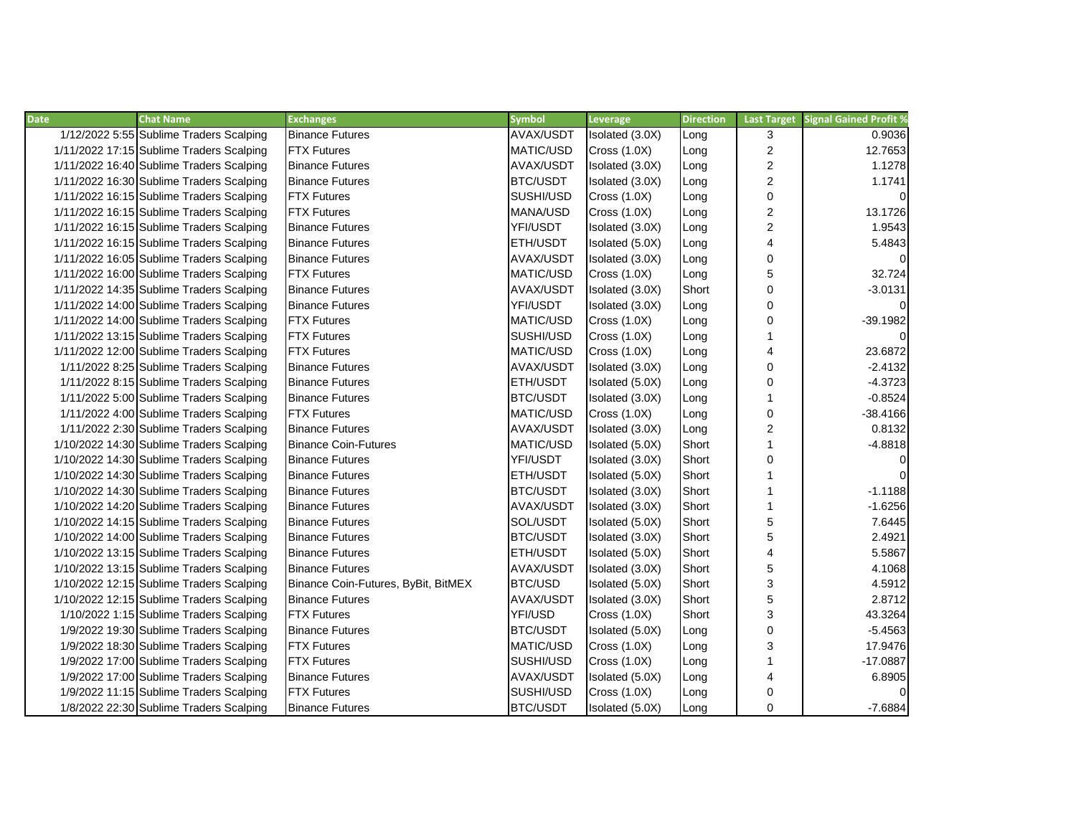| <b>Date</b> | <b>Chat Name</b>                         | <b>Exchanges</b>                    | <b>Symbol</b>   | Leverage            | <b>Direction</b> | <b>Last Target</b>      | <b>Signal Gained Profit %</b> |
|-------------|------------------------------------------|-------------------------------------|-----------------|---------------------|------------------|-------------------------|-------------------------------|
|             | 1/12/2022 5:55 Sublime Traders Scalping  | <b>Binance Futures</b>              | AVAX/USDT       | Isolated (3.0X)     | Long             | 3                       | 0.9036                        |
|             | 1/11/2022 17:15 Sublime Traders Scalping | <b>FTX Futures</b>                  | MATIC/USD       | <b>Cross (1.0X)</b> | Long             | $\overline{c}$          | 12.7653                       |
|             | 1/11/2022 16:40 Sublime Traders Scalping | <b>Binance Futures</b>              | AVAX/USDT       | Isolated (3.0X)     | Long             | $\boldsymbol{2}$        | 1.1278                        |
|             | 1/11/2022 16:30 Sublime Traders Scalping | <b>Binance Futures</b>              | <b>BTC/USDT</b> | Isolated (3.0X)     | Long             | $\overline{2}$          | 1.1741                        |
|             | 1/11/2022 16:15 Sublime Traders Scalping | <b>FTX Futures</b>                  | SUSHI/USD       | Cross(1.0X)         | Long             | $\mathbf 0$             | $\Omega$                      |
|             | 1/11/2022 16:15 Sublime Traders Scalping | <b>FTX</b> Futures                  | MANA/USD        | <b>Cross (1.0X)</b> | Long             | $\overline{c}$          | 13.1726                       |
|             | 1/11/2022 16:15 Sublime Traders Scalping | <b>Binance Futures</b>              | YFI/USDT        | Isolated (3.0X)     | Long             | $\overline{c}$          | 1.9543                        |
|             | 1/11/2022 16:15 Sublime Traders Scalping | <b>Binance Futures</b>              | ETH/USDT        | Isolated (5.0X)     | Long             | $\overline{\mathbf{4}}$ | 5.4843                        |
|             | 1/11/2022 16:05 Sublime Traders Scalping | <b>Binance Futures</b>              | AVAX/USDT       | Isolated (3.0X)     | Long             | $\mathbf 0$             |                               |
|             | 1/11/2022 16:00 Sublime Traders Scalping | <b>FTX Futures</b>                  | MATIC/USD       | Cross $(1.0X)$      | Long             | 5                       | 32.724                        |
|             | 1/11/2022 14:35 Sublime Traders Scalping | <b>Binance Futures</b>              | AVAX/USDT       | Isolated (3.0X)     | Short            | $\mathbf 0$             | $-3.0131$                     |
|             | 1/11/2022 14:00 Sublime Traders Scalping | <b>Binance Futures</b>              | YFI/USDT        | Isolated (3.0X)     | Long             | $\mathbf 0$             | $\Omega$                      |
|             | 1/11/2022 14:00 Sublime Traders Scalping | <b>FTX Futures</b>                  | MATIC/USD       | <b>Cross (1.0X)</b> | Long             | 0                       | $-39.1982$                    |
|             | 1/11/2022 13:15 Sublime Traders Scalping | <b>FTX Futures</b>                  | SUSHI/USD       | <b>Cross (1.0X)</b> | Long             |                         |                               |
|             | 1/11/2022 12:00 Sublime Traders Scalping | <b>FTX Futures</b>                  | MATIC/USD       | Cross $(1.0X)$      | Long             | 4                       | 23.6872                       |
|             | 1/11/2022 8:25 Sublime Traders Scalping  | <b>Binance Futures</b>              | AVAX/USDT       | Isolated (3.0X)     | Long             | $\mathbf 0$             | $-2.4132$                     |
|             | 1/11/2022 8:15 Sublime Traders Scalping  | <b>Binance Futures</b>              | ETH/USDT        | Isolated (5.0X)     | Long             | 0                       | $-4.3723$                     |
|             | 1/11/2022 5:00 Sublime Traders Scalping  | <b>Binance Futures</b>              | <b>BTC/USDT</b> | Isolated (3.0X)     | Long             |                         | $-0.8524$                     |
|             | 1/11/2022 4:00 Sublime Traders Scalping  | <b>FTX Futures</b>                  | MATIC/USD       | <b>Cross (1.0X)</b> | Long             | 0                       | $-38.4166$                    |
|             | 1/11/2022 2:30 Sublime Traders Scalping  | <b>Binance Futures</b>              | AVAX/USDT       | Isolated (3.0X)     | Long             | $\overline{c}$          | 0.8132                        |
|             | 1/10/2022 14:30 Sublime Traders Scalping | <b>Binance Coin-Futures</b>         | MATIC/USD       | Isolated (5.0X)     | Short            | 1                       | $-4.8818$                     |
|             | 1/10/2022 14:30 Sublime Traders Scalping | <b>Binance Futures</b>              | YFI/USDT        | Isolated (3.0X)     | Short            | $\mathbf 0$             | $\Omega$                      |
|             | 1/10/2022 14:30 Sublime Traders Scalping | <b>Binance Futures</b>              | ETH/USDT        | Isolated (5.0X)     | Short            |                         | $\Omega$                      |
|             | 1/10/2022 14:30 Sublime Traders Scalping | <b>Binance Futures</b>              | <b>BTC/USDT</b> | Isolated (3.0X)     | Short            |                         | $-1.1188$                     |
|             | 1/10/2022 14:20 Sublime Traders Scalping | <b>Binance Futures</b>              | AVAX/USDT       | Isolated (3.0X)     | Short            | 1                       | $-1.6256$                     |
|             | 1/10/2022 14:15 Sublime Traders Scalping | <b>Binance Futures</b>              | SOL/USDT        | Isolated (5.0X)     | Short            | 5                       | 7.6445                        |
|             | 1/10/2022 14:00 Sublime Traders Scalping | <b>Binance Futures</b>              | <b>BTC/USDT</b> | Isolated (3.0X)     | Short            | 5                       | 2.4921                        |
|             | 1/10/2022 13:15 Sublime Traders Scalping | <b>Binance Futures</b>              | ETH/USDT        | Isolated (5.0X)     | Short            | $\overline{\mathbf{4}}$ | 5.5867                        |
|             | 1/10/2022 13:15 Sublime Traders Scalping | <b>Binance Futures</b>              | AVAX/USDT       | Isolated (3.0X)     | Short            | 5                       | 4.1068                        |
|             | 1/10/2022 12:15 Sublime Traders Scalping | Binance Coin-Futures, ByBit, BitMEX | BTC/USD         | Isolated (5.0X)     | Short            | 3                       | 4.5912                        |
|             | 1/10/2022 12:15 Sublime Traders Scalping | <b>Binance Futures</b>              | AVAX/USDT       | Isolated (3.0X)     | Short            | 5                       | 2.8712                        |
|             | 1/10/2022 1:15 Sublime Traders Scalping  | <b>FTX Futures</b>                  | YFI/USD         | Cross $(1.0X)$      | Short            | 3                       | 43.3264                       |
|             | 1/9/2022 19:30 Sublime Traders Scalping  | <b>Binance Futures</b>              | <b>BTC/USDT</b> | Isolated (5.0X)     | Long             | 0                       | $-5.4563$                     |
|             | 1/9/2022 18:30 Sublime Traders Scalping  | <b>FTX Futures</b>                  | MATIC/USD       | <b>Cross (1.0X)</b> | Long             | 3                       | 17.9476                       |
|             | 1/9/2022 17:00 Sublime Traders Scalping  | <b>FTX Futures</b>                  | SUSHI/USD       | <b>Cross (1.0X)</b> | Long             |                         | $-17.0887$                    |
|             | 1/9/2022 17:00 Sublime Traders Scalping  | <b>Binance Futures</b>              | AVAX/USDT       | Isolated (5.0X)     | Long             | 4                       | 6.8905                        |
|             | 1/9/2022 11:15 Sublime Traders Scalping  | <b>FTX Futures</b>                  | SUSHI/USD       | Cross $(1.0X)$      | Long             | 0                       |                               |
|             | 1/8/2022 22:30 Sublime Traders Scalping  | <b>Binance Futures</b>              | <b>BTC/USDT</b> | Isolated (5.0X)     | Long             | $\mathbf 0$             | $-7.6884$                     |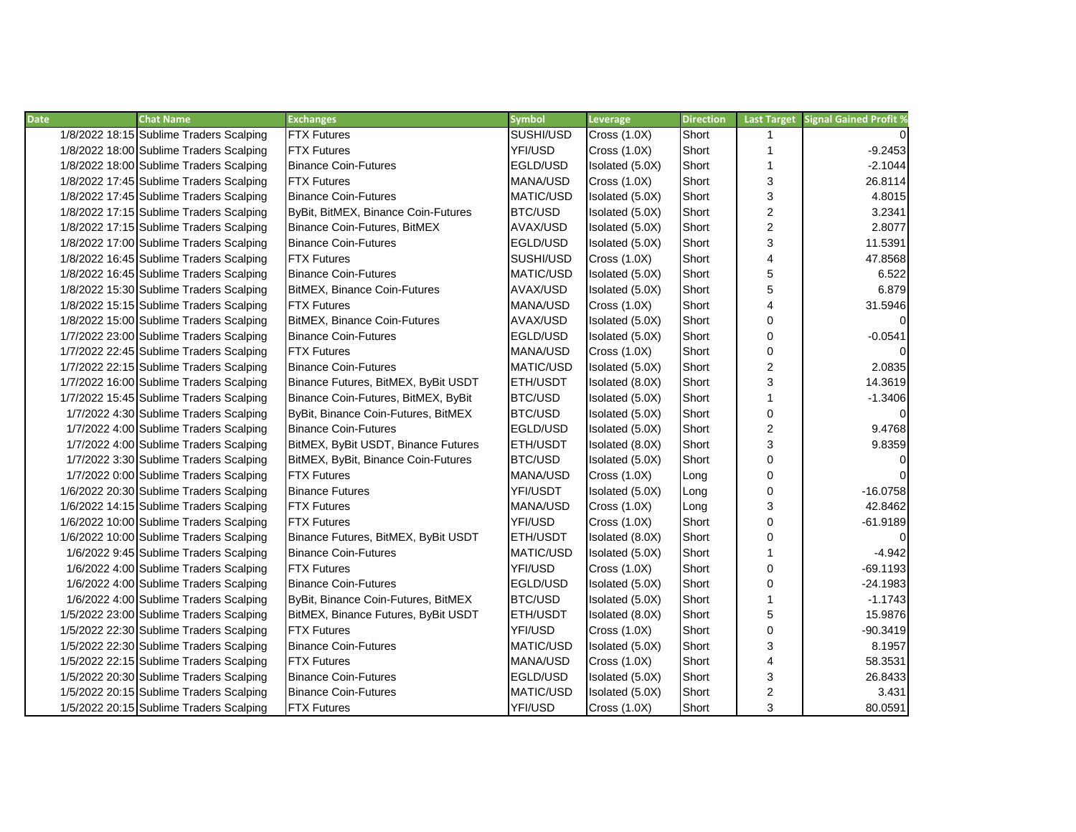| <b>Date</b> | <b>Chat Name</b>                        | <b>Exchanges</b>                    | <b>Symbol</b>    | Leverage            | <b>Direction</b> | <b>Last Target</b> | <b>Signal Gained Profit %</b> |
|-------------|-----------------------------------------|-------------------------------------|------------------|---------------------|------------------|--------------------|-------------------------------|
|             | 1/8/2022 18:15 Sublime Traders Scalping | <b>FTX Futures</b>                  | SUSHI/USD        | <b>Cross (1.0X)</b> | Short            | $\mathbf{1}$       | $\Omega$                      |
|             | 1/8/2022 18:00 Sublime Traders Scalping | <b>FTX Futures</b>                  | YFI/USD          | <b>Cross (1.0X)</b> | Short            | $\mathbf{1}$       | $-9.2453$                     |
|             | 1/8/2022 18:00 Sublime Traders Scalping | <b>Binance Coin-Futures</b>         | EGLD/USD         | Isolated (5.0X)     | Short            | $\mathbf{1}$       | $-2.1044$                     |
|             | 1/8/2022 17:45 Sublime Traders Scalping | <b>FTX Futures</b>                  | MANA/USD         | <b>Cross (1.0X)</b> | Short            | 3                  | 26.8114                       |
|             | 1/8/2022 17:45 Sublime Traders Scalping | <b>Binance Coin-Futures</b>         | MATIC/USD        | Isolated (5.0X)     | Short            | 3                  | 4.8015                        |
|             | 1/8/2022 17:15 Sublime Traders Scalping | ByBit, BitMEX, Binance Coin-Futures | BTC/USD          | Isolated (5.0X)     | Short            | $\overline{c}$     | 3.2341                        |
|             | 1/8/2022 17:15 Sublime Traders Scalping | Binance Coin-Futures, BitMEX        | AVAX/USD         | Isolated (5.0X)     | Short            | $\overline{c}$     | 2.8077                        |
|             | 1/8/2022 17:00 Sublime Traders Scalping | <b>Binance Coin-Futures</b>         | EGLD/USD         | Isolated (5.0X)     | Short            | 3                  | 11.5391                       |
|             | 1/8/2022 16:45 Sublime Traders Scalping | <b>FTX Futures</b>                  | SUSHI/USD        | <b>Cross (1.0X)</b> | Short            | $\overline{4}$     | 47.8568                       |
|             | 1/8/2022 16:45 Sublime Traders Scalping | <b>Binance Coin-Futures</b>         | MATIC/USD        | Isolated (5.0X)     | Short            | 5                  | 6.522                         |
|             | 1/8/2022 15:30 Sublime Traders Scalping | BitMEX, Binance Coin-Futures        | AVAX/USD         | Isolated (5.0X)     | Short            | 5                  | 6.879                         |
|             | 1/8/2022 15:15 Sublime Traders Scalping | <b>FTX Futures</b>                  | MANA/USD         | Cross(1.0X)         | Short            | 4                  | 31.5946                       |
|             | 1/8/2022 15:00 Sublime Traders Scalping | BitMEX, Binance Coin-Futures        | AVAX/USD         | Isolated (5.0X)     | Short            | 0                  | $\Omega$                      |
|             | 1/7/2022 23:00 Sublime Traders Scalping | <b>Binance Coin-Futures</b>         | EGLD/USD         | Isolated (5.0X)     | Short            | 0                  | $-0.0541$                     |
|             | 1/7/2022 22:45 Sublime Traders Scalping | <b>FTX Futures</b>                  | MANA/USD         | <b>Cross (1.0X)</b> | Short            | 0                  | $\overline{0}$                |
|             | 1/7/2022 22:15 Sublime Traders Scalping | <b>Binance Coin-Futures</b>         | MATIC/USD        | Isolated (5.0X)     | Short            | $\overline{c}$     | 2.0835                        |
|             | 1/7/2022 16:00 Sublime Traders Scalping | Binance Futures, BitMEX, ByBit USDT | ETH/USDT         | Isolated (8.0X)     | Short            | 3                  | 14.3619                       |
|             | 1/7/2022 15:45 Sublime Traders Scalping | Binance Coin-Futures, BitMEX, ByBit | BTC/USD          | Isolated (5.0X)     | Short            | $\mathbf{1}$       | $-1.3406$                     |
|             | 1/7/2022 4:30 Sublime Traders Scalping  | ByBit, Binance Coin-Futures, BitMEX | BTC/USD          | Isolated (5.0X)     | Short            | 0                  | $\Omega$                      |
|             | 1/7/2022 4:00 Sublime Traders Scalping  | <b>Binance Coin-Futures</b>         | EGLD/USD         | Isolated (5.0X)     | Short            | $\overline{c}$     | 9.4768                        |
|             | 1/7/2022 4:00 Sublime Traders Scalping  | BitMEX, ByBit USDT, Binance Futures | ETH/USDT         | Isolated (8.0X)     | Short            | 3                  | 9.8359                        |
|             | 1/7/2022 3:30 Sublime Traders Scalping  | BitMEX, ByBit, Binance Coin-Futures | BTC/USD          | Isolated (5.0X)     | Short            | 0                  | $\Omega$                      |
|             | 1/7/2022 0:00 Sublime Traders Scalping  | <b>FTX Futures</b>                  | MANA/USD         | <b>Cross (1.0X)</b> | Long             | 0                  | $\Omega$                      |
|             | 1/6/2022 20:30 Sublime Traders Scalping | <b>Binance Futures</b>              | YFI/USDT         | Isolated (5.0X)     | Long             | 0                  | $-16.0758$                    |
|             | 1/6/2022 14:15 Sublime Traders Scalping | <b>FTX Futures</b>                  | MANA/USD         | Cross $(1.0X)$      | Long             | 3                  | 42.8462                       |
|             | 1/6/2022 10:00 Sublime Traders Scalping | <b>FTX Futures</b>                  | YFI/USD          | <b>Cross (1.0X)</b> | Short            | 0                  | $-61.9189$                    |
|             | 1/6/2022 10:00 Sublime Traders Scalping | Binance Futures, BitMEX, ByBit USDT | ETH/USDT         | Isolated (8.0X)     | Short            | 0                  | $\overline{0}$                |
|             | 1/6/2022 9:45 Sublime Traders Scalping  | <b>Binance Coin-Futures</b>         | <b>MATIC/USD</b> | Isolated (5.0X)     | Short            | 1                  | $-4.942$                      |
|             | 1/6/2022 4:00 Sublime Traders Scalping  | <b>FTX Futures</b>                  | YFI/USD          | <b>Cross (1.0X)</b> | Short            | 0                  | $-69.1193$                    |
|             | 1/6/2022 4:00 Sublime Traders Scalping  | <b>Binance Coin-Futures</b>         | EGLD/USD         | Isolated (5.0X)     | Short            | 0                  | $-24.1983$                    |
|             | 1/6/2022 4:00 Sublime Traders Scalping  | ByBit, Binance Coin-Futures, BitMEX | BTC/USD          | Isolated (5.0X)     | Short            | 1                  | $-1.1743$                     |
|             | 1/5/2022 23:00 Sublime Traders Scalping | BitMEX, Binance Futures, ByBit USDT | <b>ETH/USDT</b>  | Isolated (8.0X)     | Short            | 5                  | 15.9876                       |
|             | 1/5/2022 22:30 Sublime Traders Scalping | <b>FTX Futures</b>                  | YFI/USD          | <b>Cross (1.0X)</b> | Short            | 0                  | $-90.3419$                    |
|             | 1/5/2022 22:30 Sublime Traders Scalping | <b>Binance Coin-Futures</b>         | <b>MATIC/USD</b> | Isolated (5.0X)     | Short            | 3                  | 8.1957                        |
|             | 1/5/2022 22:15 Sublime Traders Scalping | <b>FTX Futures</b>                  | MANA/USD         | <b>Cross (1.0X)</b> | Short            | $\overline{4}$     | 58.3531                       |
|             | 1/5/2022 20:30 Sublime Traders Scalping | <b>Binance Coin-Futures</b>         | EGLD/USD         | Isolated (5.0X)     | Short            | 3                  | 26.8433                       |
|             | 1/5/2022 20:15 Sublime Traders Scalping | <b>Binance Coin-Futures</b>         | MATIC/USD        | Isolated (5.0X)     | Short            | 2                  | 3.431                         |
|             | 1/5/2022 20:15 Sublime Traders Scalping | <b>FTX Futures</b>                  | YFI/USD          | <b>Cross (1.0X)</b> | Short            | 3                  | 80.0591                       |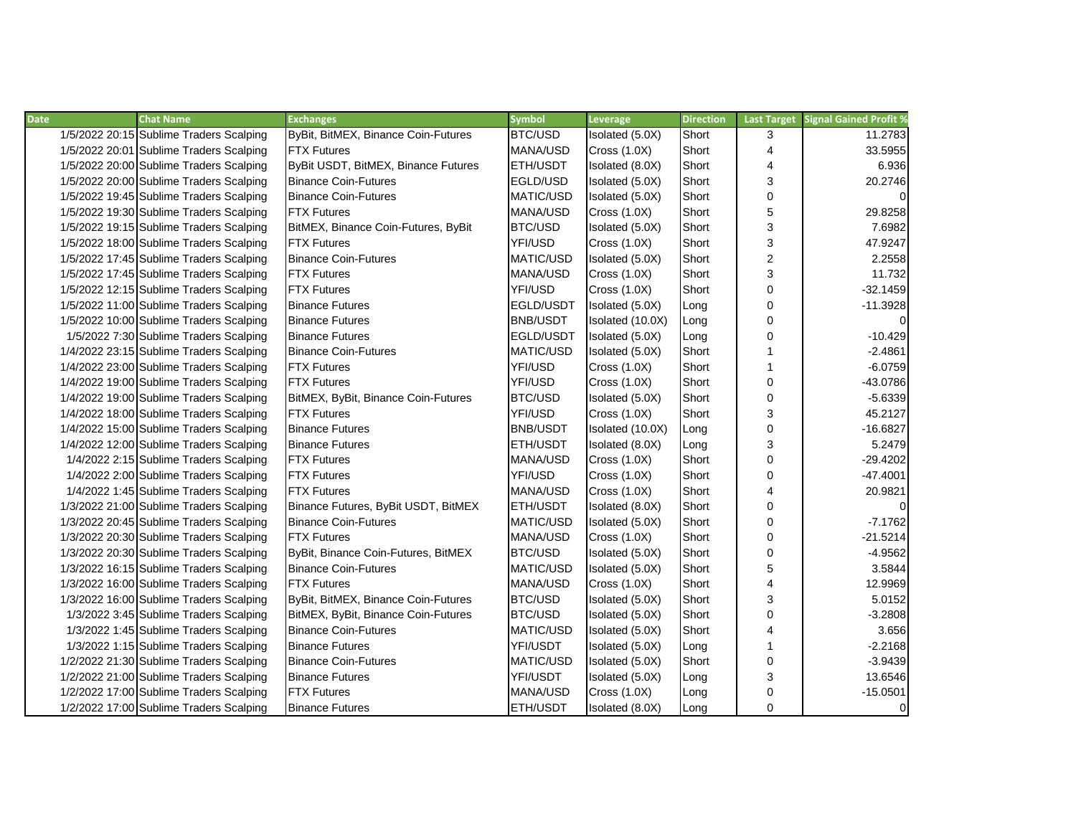| <b>Date</b> | <b>Chat Name</b>                        | <b>Exchanges</b>                    | <b>Symbol</b>    | Leverage            | <b>Direction</b> | <b>Last Target</b> | <b>Signal Gained Profit %</b> |
|-------------|-----------------------------------------|-------------------------------------|------------------|---------------------|------------------|--------------------|-------------------------------|
|             | 1/5/2022 20:15 Sublime Traders Scalping | ByBit, BitMEX, Binance Coin-Futures | BTC/USD          | Isolated (5.0X)     | Short            | 3                  | 11.2783                       |
|             | 1/5/2022 20:01 Sublime Traders Scalping | <b>FTX Futures</b>                  | MANA/USD         | <b>Cross (1.0X)</b> | Short            | 4                  | 33.5955                       |
|             | 1/5/2022 20:00 Sublime Traders Scalping | ByBit USDT, BitMEX, Binance Futures | <b>ETH/USDT</b>  | Isolated (8.0X)     | Short            | 4                  | 6.936                         |
|             | 1/5/2022 20:00 Sublime Traders Scalping | <b>Binance Coin-Futures</b>         | EGLD/USD         | Isolated (5.0X)     | Short            | 3                  | 20.2746                       |
|             | 1/5/2022 19:45 Sublime Traders Scalping | <b>Binance Coin-Futures</b>         | <b>MATIC/USD</b> | Isolated (5.0X)     | Short            | $\mathbf 0$        | <sup>0</sup>                  |
|             | 1/5/2022 19:30 Sublime Traders Scalping | <b>FTX Futures</b>                  | MANA/USD         | <b>Cross (1.0X)</b> | Short            | 5                  | 29.8258                       |
|             | 1/5/2022 19:15 Sublime Traders Scalping | BitMEX, Binance Coin-Futures, ByBit | BTC/USD          | Isolated (5.0X)     | Short            | 3                  | 7.6982                        |
|             | 1/5/2022 18:00 Sublime Traders Scalping | <b>FTX Futures</b>                  | YFI/USD          | <b>Cross (1.0X)</b> | Short            | 3                  | 47.9247                       |
|             | 1/5/2022 17:45 Sublime Traders Scalping | <b>Binance Coin-Futures</b>         | <b>MATIC/USD</b> | Isolated (5.0X)     | Short            | $\overline{c}$     | 2.2558                        |
|             | 1/5/2022 17:45 Sublime Traders Scalping | <b>FTX Futures</b>                  | MANA/USD         | Cross $(1.0X)$      | Short            | 3                  | 11.732                        |
|             | 1/5/2022 12:15 Sublime Traders Scalping | <b>FTX Futures</b>                  | YFI/USD          | <b>Cross (1.0X)</b> | Short            | $\mathbf 0$        | $-32.1459$                    |
|             | 1/5/2022 11:00 Sublime Traders Scalping | <b>Binance Futures</b>              | EGLD/USDT        | Isolated (5.0X)     | Long             | $\mathbf 0$        | $-11.3928$                    |
|             | 1/5/2022 10:00 Sublime Traders Scalping | <b>Binance Futures</b>              | <b>BNB/USDT</b>  | Isolated (10.0X)    | Long             | $\mathbf 0$        | $\Omega$                      |
|             | 1/5/2022 7:30 Sublime Traders Scalping  | <b>Binance Futures</b>              | EGLD/USDT        | Isolated (5.0X)     | Long             | 0                  | $-10.429$                     |
|             | 1/4/2022 23:15 Sublime Traders Scalping | <b>Binance Coin-Futures</b>         | MATIC/USD        | Isolated (5.0X)     | Short            | 1                  | $-2.4861$                     |
|             | 1/4/2022 23:00 Sublime Traders Scalping | <b>FTX Futures</b>                  | YFI/USD          | Cross $(1.0X)$      | Short            | 1                  | $-6.0759$                     |
|             | 1/4/2022 19:00 Sublime Traders Scalping | <b>FTX Futures</b>                  | YFI/USD          | <b>Cross (1.0X)</b> | Short            | $\mathbf 0$        | $-43.0786$                    |
|             | 1/4/2022 19:00 Sublime Traders Scalping | BitMEX, ByBit, Binance Coin-Futures | BTC/USD          | Isolated (5.0X)     | Short            | $\mathbf 0$        | $-5.6339$                     |
|             | 1/4/2022 18:00 Sublime Traders Scalping | <b>FTX Futures</b>                  | YFI/USD          | <b>Cross (1.0X)</b> | Short            | 3                  | 45.2127                       |
|             | 1/4/2022 15:00 Sublime Traders Scalping | <b>Binance Futures</b>              | <b>BNB/USDT</b>  | Isolated (10.0X)    | Long             | $\mathbf 0$        | $-16.6827$                    |
|             | 1/4/2022 12:00 Sublime Traders Scalping | <b>Binance Futures</b>              | ETH/USDT         | Isolated (8.0X)     | Long             | 3                  | 5.2479                        |
|             | 1/4/2022 2:15 Sublime Traders Scalping  | <b>FTX Futures</b>                  | <b>MANA/USD</b>  | Cross(1.0X)         | Short            | $\mathbf 0$        | $-29.4202$                    |
|             | 1/4/2022 2:00 Sublime Traders Scalping  | <b>FTX Futures</b>                  | YFI/USD          | <b>Cross (1.0X)</b> | Short            | $\mathbf 0$        | $-47.4001$                    |
|             | 1/4/2022 1:45 Sublime Traders Scalping  | <b>FTX Futures</b>                  | MANA/USD         | <b>Cross (1.0X)</b> | Short            | 4                  | 20.9821                       |
|             | 1/3/2022 21:00 Sublime Traders Scalping | Binance Futures, ByBit USDT, BitMEX | <b>ETH/USDT</b>  | Isolated (8.0X)     | Short            | $\mathbf 0$        | $\Omega$                      |
|             | 1/3/2022 20:45 Sublime Traders Scalping | <b>Binance Coin-Futures</b>         | MATIC/USD        | Isolated (5.0X)     | Short            | 0                  | $-7.1762$                     |
|             | 1/3/2022 20:30 Sublime Traders Scalping | <b>FTX Futures</b>                  | MANA/USD         | Cross $(1.0X)$      | Short            | 0                  | $-21.5214$                    |
|             | 1/3/2022 20:30 Sublime Traders Scalping | ByBit, Binance Coin-Futures, BitMEX | BTC/USD          | Isolated (5.0X)     | Short            | $\mathbf 0$        | $-4.9562$                     |
|             | 1/3/2022 16:15 Sublime Traders Scalping | <b>Binance Coin-Futures</b>         | MATIC/USD        | Isolated (5.0X)     | Short            | 5                  | 3.5844                        |
|             | 1/3/2022 16:00 Sublime Traders Scalping | <b>FTX Futures</b>                  | MANA/USD         | <b>Cross (1.0X)</b> | Short            | 4                  | 12.9969                       |
|             | 1/3/2022 16:00 Sublime Traders Scalping | ByBit, BitMEX, Binance Coin-Futures | BTC/USD          | Isolated (5.0X)     | Short            | 3                  | 5.0152                        |
|             | 1/3/2022 3:45 Sublime Traders Scalping  | BitMEX, ByBit, Binance Coin-Futures | <b>BTC/USD</b>   | Isolated (5.0X)     | Short            | $\mathbf 0$        | $-3.2808$                     |
|             | 1/3/2022 1:45 Sublime Traders Scalping  | <b>Binance Coin-Futures</b>         | MATIC/USD        | Isolated (5.0X)     | Short            | 4                  | 3.656                         |
|             | 1/3/2022 1:15 Sublime Traders Scalping  | <b>Binance Futures</b>              | YFI/USDT         | Isolated (5.0X)     | Long             | 1                  | $-2.2168$                     |
|             | 1/2/2022 21:30 Sublime Traders Scalping | <b>Binance Coin-Futures</b>         | MATIC/USD        | Isolated (5.0X)     | Short            | $\pmb{0}$          | $-3.9439$                     |
|             | 1/2/2022 21:00 Sublime Traders Scalping | <b>Binance Futures</b>              | YFI/USDT         | Isolated (5.0X)     | Long             | 3                  | 13.6546                       |
|             | 1/2/2022 17:00 Sublime Traders Scalping | <b>FTX Futures</b>                  | MANA/USD         | Cross $(1.0X)$      | Long             | 0                  | $-15.0501$                    |
|             | 1/2/2022 17:00 Sublime Traders Scalping | <b>Binance Futures</b>              | <b>ETH/USDT</b>  | Isolated (8.0X)     | Long             | 0                  | $\overline{0}$                |